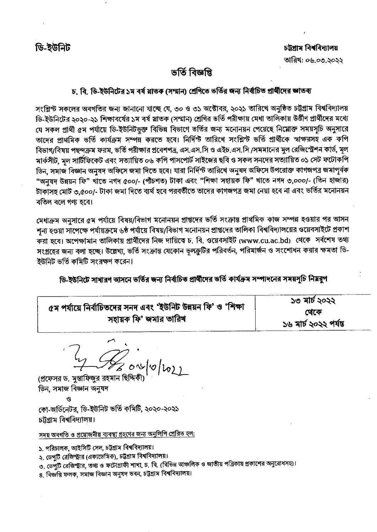## ভৰ্তি বিজ্ঞপ্তি

## চ, বি, ডি-ইউনিটের ১ম বর্ষ মাতক (সম্মান) শ্রেণিতে ভর্তির জন্য নির্বাচিত প্রার্থীদের জ্ঞাতব্য

সংশ্লিস্ট সকলের অবগতির জন্য জানানো যাচ্ছে যে, ৩০ ও ৩১ অক্টোবর, ২০২১ তারিখে অনুষ্ঠিত চট্টগ্রাম বিশ্ববিদ্যালয় ডি-ইউনিটের ২০২০-২১ শিক্ষাবর্ষের ১ম বর্ষ স্নাতক (সম্মান) শ্রেণির ভর্তি পরীক্ষায় মেধা তালিকায় উর্ত্তীণ প্রার্থীদের মধ্যে যে সকল প্রার্থী ৫ম পর্যায়ে ডি-ইউনিটভুক্ত বিভিন্ন বিভাগে ভর্তির জন্য মনোনয়ন পেয়েছে নিম্নোক্ত সময়সূচি অনুসারে তাদের প্রাথমিক ভর্তি কার্যক্রম সম্পন্ন করতে হবে। নির্দিন্ট তারিখে সংশ্লিন্ট ভর্তি প্রার্থীকে স্বাক্ষরসহ এক কপি বিভাগ/বিষয় পছন্দক্রম ফরম, ভর্তি পরীক্ষার প্রবেশপত্র, এস.এস.সি ও এইচ.এস.সি /সমমানের মুল রেজিস্ট্রেশন কার্ড, মূল মার্কসীট, মল সার্টিফিকেট এবং সত্যায়িত ০৬ কপি পাসপোর্ট সাইজের ছবি ও সকল সনদের সত্যায়িত ০১ সেট ফটোকপি ডিন, সমাজ বিজ্ঞান অনুষদ অফিসে জমা দিতে হবে। যারা নির্দিন্ট তারিখে অনুষদ অফিসে উপরোক্ত কাগজপত্র জমাপূর্বক "অনুষদ উন্নয়ন ফি" খাঁতে নগদ ৫০০/- (পাঁচশত) টাকা এবং "শিক্ষা সহায়ক ফি" খাতে নগদ ৩,০০০/- (তিন হাজার) টাকাসহ মোট ৩,৫০০/- টাকা জমা দিতে ব্যর্থ হবে পরবর্তীতে তাদের কাগজপত্র জমা নেয়া হবে না এবং ভর্তির মনোনয়ন বতিল বলে গণ্য হবে।

মেধাক্রম অনসারে ৫ম পর্যায়ে বিষয়/বিভাগ মনোনয়ন প্রাপ্তদের ভর্তি সংক্রান্ত প্রাথমিক কাজ সম্পন্ন হওয়ার পর আসন শূন্য হওয়া সাঁপেক্ষে পর্যায়ক্রমে ৬ষ্ঠ পর্যায়ে বিষয়/বিভাগ মনোনয়ন প্রাপ্তদের তালিকা বিশ্ববিদ্যালয়ের ওয়েবসাইটে প্রকাশ করা হবে। অপেক্ষামান তালিকায় প্রার্থীদের নিজ দায়িত্বে চ. বি. ওয়েবসাইট (www.cu.ac.bd) থেকে সর্বশেষ তথ্য সংগ্রহের জন্য বলা হচ্ছে। উল্লেখ্য, ভর্তি সংক্রান্ত যেকোন ভুলক্রুটির পরিবর্তন, পরিমার্জন ও সংশোধন করার ক্ষমতা ডি-ইউনিট ভর্তি কমিটি সংরক্ষণ করেন।

ডি-ইউনিটে সাধারণ আসনে ভর্তির জন্য নির্বাচিত প্রার্থীদের ভর্তি কার্যক্রম সম্পাদনের সময়সূচি নিম্নরূপ

|                                                               | ১৩ মার্চ ২০২২         |
|---------------------------------------------------------------|-----------------------|
| ৫ম পর্যায়ে নির্বাচিতদের সনদ এবং 'ইউনিট উন্নয়ন ফি' ও 'শিক্ষা | থেকে                  |
| সহায়ক ফি' জমার তারিখ                                         | ১৬ মার্চ ২০২২ পর্যন্ত |

(প্রফেসর ড. মুস্তাফিজুর রহমান ছিদ্দিক ডিন, সমাজ বিজ্ঞান অনুষদ

G

কো-অর্ডিনেটর, ডি-ইউনিট ভর্তি কমিটি, ২০২০-২০২১ চটগ্ৰাম বিশ্ববিদ্যালয়।

সদয় অবগতি ও প্রয়োজনীয় ব্যবস্থা গ্রহণের জন্য অনুলিপি প্রেরিত হল:

১. পরিচালক, আইসিটি সেল, চট্টগ্রাম বিশ্ববিদ্যালয়।

২. ডেপুটি রেজিস্ট্রার (একাডেমিক), চট্টগ্রাম বিশ্ববিদ্যালয়।

৩. ডেপুটি রেজিস্ট্রার, তথ্য ও ফটোগ্রাফী শাখা, চ. বি. (বিভিন্ন আঞ্চলিক ও জাতীয় পত্রিকায় প্রকাশের অনুরোধসহ)।

৪. বিজ্ঞপ্তি ফলক, সমাজ বিজ্ঞান অনুষদ ভবন, চট্টগ্ৰাম বিশ্ববিদ্যালয়।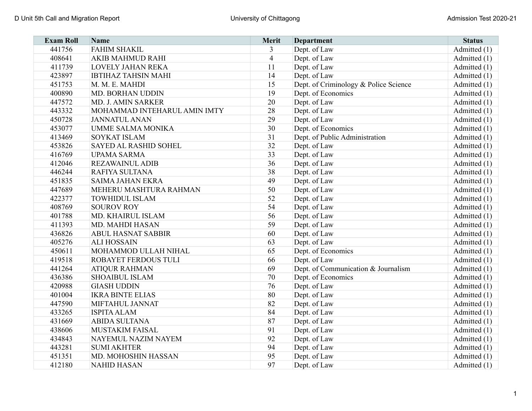| <b>Exam Roll</b> | <b>Name</b>                  | Merit          | <b>Department</b>                     | <b>Status</b> |
|------------------|------------------------------|----------------|---------------------------------------|---------------|
| 441756           | <b>FAHIM SHAKIL</b>          | 3              | Dept. of Law                          | Admitted (1)  |
| 408641           | AKIB MAHMUD RAHI             | $\overline{4}$ | Dept. of Law                          | Admitted (1)  |
| 411739           | <b>LOVELY JAHAN REKA</b>     | 11             | Dept. of Law                          | Admitted (1)  |
| 423897           | <b>IBTIHAZ TAHSIN MAHI</b>   | 14             | Dept. of Law                          | Admitted (1)  |
| 451753           | M. M. E. MAHDI               | 15             | Dept. of Criminology & Police Science | Admitted (1)  |
| 400890           | MD. BORHAN UDDIN             | 19             | Dept. of Economics                    | Admitted (1)  |
| 447572           | MD. J. AMIN SARKER           | 20             | Dept. of Law                          | Admitted (1)  |
| 443332           | MOHAMMAD INTEHARUL AMIN IMTY | 28             | Dept. of Law                          | Admitted (1)  |
| 450728           | <b>JANNATUL ANAN</b>         | 29             | Dept. of Law                          | Admitted (1)  |
| 453077           | <b>UMME SALMA MONIKA</b>     | 30             | Dept. of Economics                    | Admitted (1)  |
| 413469           | <b>SOYKAT ISLAM</b>          | 31             | Dept. of Public Administration        | Admitted (1)  |
| 453826           | SAYED AL RASHID SOHEL        | 32             | Dept. of Law                          | Admitted (1)  |
| 416769           | <b>UPAMA SARMA</b>           | 33             | Dept. of Law                          | Admitted (1)  |
| 412046           | <b>REZAWAINUL ADIB</b>       | 36             | Dept. of Law                          | Admitted (1)  |
| 446244           | RAFIYA SULTANA               | 38             | Dept. of Law                          | Admitted (1)  |
| 451835           | <b>SAIMA JAHAN EKRA</b>      | 49             | Dept. of Law                          | Admitted (1)  |
| 447689           | MEHERU MASHTURA RAHMAN       | 50             | Dept. of Law                          | Admitted (1)  |
| 422377           | <b>TOWHIDUL ISLAM</b>        | 52             | Dept. of Law                          | Admitted (1)  |
| 408769           | <b>SOUROV ROY</b>            | 54             | Dept. of Law                          | Admitted (1)  |
| 401788           | MD. KHAIRUL ISLAM            | 56             | Dept. of Law                          | Admitted (1)  |
| 411393           | MD. MAHDI HASAN              | 59             | Dept. of Law                          | Admitted (1)  |
| 436826           | <b>ABUL HASNAT SABBIR</b>    | 60             | Dept. of Law                          | Admitted (1)  |
| 405276           | <b>ALI HOSSAIN</b>           | 63             | Dept. of Law                          | Admitted (1)  |
| 450611           | MOHAMMOD ULLAH NIHAL         | 65             | Dept. of Economics                    | Admitted (1)  |
| 419518           | ROBAYET FERDOUS TULI         | 66             | Dept. of Law                          | Admitted (1)  |
| 441264           | <b>ATIQUR RAHMAN</b>         | 69             | Dept. of Communication & Journalism   | Admitted (1)  |
| 436386           | <b>SHOAIBUL ISLAM</b>        | 70             | Dept. of Economics                    | Admitted (1)  |
| 420988           | <b>GIASH UDDIN</b>           | 76             | Dept. of Law                          | Admitted (1)  |
| 401004           | <b>IKRA BINTE ELIAS</b>      | 80             | Dept. of Law                          | Admitted (1)  |
| 447590           | MIFTAHUL JANNAT              | 82             | Dept. of Law                          | Admitted (1)  |
| 433265           | <b>ISPITA ALAM</b>           | 84             | Dept. of Law                          | Admitted (1)  |
| 431669           | <b>ABIDA SULTANA</b>         | 87             | Dept. of Law                          | Admitted (1)  |
| 438606           | <b>MUSTAKIM FAISAL</b>       | 91             | Dept. of Law                          | Admitted (1)  |
| 434843           | NAYEMUL NAZIM NAYEM          | 92             | Dept. of Law                          | Admitted (1)  |
| 443281           | <b>SUMI AKHTER</b>           | 94             | Dept. of Law                          | Admitted (1)  |
| 451351           | MD. MOHOSHIN HASSAN          | 95             | Dept. of Law                          | Admitted (1)  |
| 412180           | <b>NAHID HASAN</b>           | 97             | Dept. of Law                          | Admitted (1)  |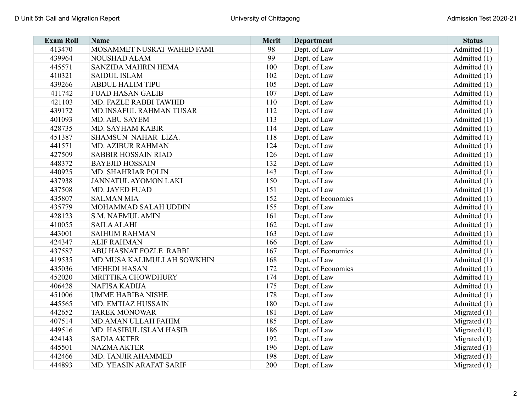| <b>Exam Roll</b> | <b>Name</b>                 | Merit | <b>Department</b>  | <b>Status</b>  |
|------------------|-----------------------------|-------|--------------------|----------------|
| 413470           | MOSAMMET NUSRAT WAHED FAMI  | 98    | Dept. of Law       | Admitted (1)   |
| 439964           | <b>NOUSHAD ALAM</b>         | 99    | Dept. of Law       | Admitted (1)   |
| 445571           | SANZIDA MAHRIN HEMA         | 100   | Dept. of Law       | Admitted (1)   |
| 410321           | <b>SAIDUL ISLAM</b>         | 102   | Dept. of Law       | Admitted (1)   |
| 439266           | <b>ABDUL HALIM TIPU</b>     | 105   | Dept. of Law       | Admitted (1)   |
| 411742           | <b>FUAD HASAN GALIB</b>     | 107   | Dept. of Law       | Admitted (1)   |
| 421103           | MD. FAZLE RABBI TAWHID      | 110   | Dept. of Law       | Admitted (1)   |
| 439172           | MD.INSAFUL RAHMAN TUSAR     | 112   | Dept. of Law       | Admitted (1)   |
| 401093           | <b>MD. ABU SAYEM</b>        | 113   | Dept. of Law       | Admitted (1)   |
| 428735           | MD. SAYHAM KABIR            | 114   | Dept. of Law       | Admitted (1)   |
| 451387           | SHAMSUN NAHAR LIZA.         | 118   | Dept. of Law       | Admitted (1)   |
| 441571           | <b>MD. AZIBUR RAHMAN</b>    | 124   | Dept. of Law       | Admitted (1)   |
| 427509           | SABBIR HOSSAIN RIAD         | 126   | Dept. of Law       | Admitted (1)   |
| 448372           | <b>BAYEJID HOSSAIN</b>      | 132   | Dept. of Law       | Admitted (1)   |
| 440925           | MD. SHAHRIAR POLIN          | 143   | Dept. of Law       | Admitted (1)   |
| 437938           | <b>JANNATUL AYOMON LAKI</b> | 150   | Dept. of Law       | Admitted (1)   |
| 437508           | <b>MD. JAYED FUAD</b>       | 151   | Dept. of Law       | Admitted (1)   |
| 435807           | <b>SALMAN MIA</b>           | 152   | Dept. of Economics | Admitted (1)   |
| 435779           | MOHAMMAD SALAH UDDIN        | 155   | Dept. of Law       | Admitted (1)   |
| 428123           | S.M. NAEMUL AMIN            | 161   | Dept. of Law       | Admitted (1)   |
| 410055           | <b>SAILA ALAHI</b>          | 162   | Dept. of Law       | Admitted (1)   |
| 443001           | <b>SAIHUM RAHMAN</b>        | 163   | Dept. of Law       | Admitted (1)   |
| 424347           | <b>ALIF RAHMAN</b>          | 166   | Dept. of Law       | Admitted (1)   |
| 437587           | ABU HASNAT FOZLE RABBI      | 167   | Dept. of Economics | Admitted (1)   |
| 419535           | MD.MUSA KALIMULLAH SOWKHIN  | 168   | Dept. of Law       | Admitted (1)   |
| 435036           | <b>MEHEDI HASAN</b>         | 172   | Dept. of Economics | Admitted (1)   |
| 452020           | MRITTIKA CHOWDHURY          | 174   | Dept. of Law       | Admitted (1)   |
| 406428           | NAFISA KADIJA               | 175   | Dept. of Law       | Admitted (1)   |
| 451006           | <b>UMME HABIBA NISHE</b>    | 178   | Dept. of Law       | Admitted (1)   |
| 445565           | MD. EMTIAZ HUSSAIN          | 180   | Dept. of Law       | Admitted (1)   |
| 442652           | <b>TAREK MONOWAR</b>        | 181   | Dept. of Law       | Migrated $(1)$ |
| 407514           | MD.AMAN ULLAH FAHIM         | 185   | Dept. of Law       | Migrated (1)   |
| 449516           | MD. HASIBUL ISLAM HASIB     | 186   | Dept. of Law       | Migrated $(1)$ |
| 424143           | <b>SADIA AKTER</b>          | 192   | Dept. of Law       | Migrated $(1)$ |
| 445501           | <b>NAZMA AKTER</b>          | 196   | Dept. of Law       | Migrated $(1)$ |
| 442466           | MD. TANJIR AHAMMED          | 198   | Dept. of Law       | Migrated $(1)$ |
| 444893           | MD. YEASIN ARAFAT SARIF     | 200   | Dept. of Law       | Migrated $(1)$ |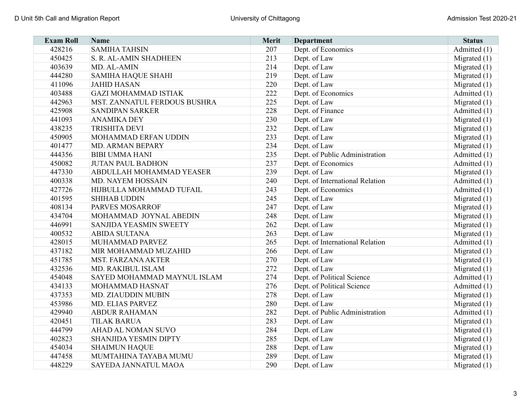| <b>Exam Roll</b> | <b>Name</b>                     | <b>Merit</b> | <b>Department</b>               | <b>Status</b>  |
|------------------|---------------------------------|--------------|---------------------------------|----------------|
| 428216           | <b>SAMIHA TAHSIN</b>            | 207          | Dept. of Economics              | Admitted (1)   |
| 450425           | S. R. AL-AMIN SHADHEEN          | 213          | Dept. of Law                    | Migrated $(1)$ |
| 403639           | MD. AL-AMIN                     | 214          | Dept. of Law                    | Migrated $(1)$ |
| 444280           | <b>SAMIHA HAQUE SHAHI</b>       | 219          | Dept. of Law                    | Migrated $(1)$ |
| 411096           | <b>JAHID HASAN</b>              | 220          | Dept. of Law                    | Migrated $(1)$ |
| 403488           | <b>GAZI MOHAMMAD ISTIAK</b>     | 222          | Dept. of Economics              | Admitted (1)   |
| 442963           | MST. ZANNATUL FERDOUS BUSHRA    | 225          | Dept. of Law                    | Migrated $(1)$ |
| 425908           | <b>SANDIPAN SARKER</b>          | 228          | Dept. of Finance                | Admitted (1)   |
| 441093           | <b>ANAMIKA DEY</b>              | 230          | Dept. of Law                    | Migrated $(1)$ |
| 438235           | <b>TRISHITA DEVI</b>            | 232          | Dept. of Law                    | Migrated $(1)$ |
| 450905           | MOHAMMAD ERFAN UDDIN            | 233          | Dept. of Law                    | Migrated $(1)$ |
| 401477           | <b>MD. ARMAN BEPARY</b>         | 234          | Dept. of Law                    | Migrated $(1)$ |
| 444356           | <b>BIBI UMMA HANI</b>           | 235          | Dept. of Public Administration  | Admitted (1)   |
| 450082           | <b>JUTAN PAUL BADHON</b>        | 237          | Dept. of Economics              | Admitted (1)   |
| 447330           | <b>ABDULLAH MOHAMMAD YEASER</b> | 239          | Dept. of Law                    | Migrated $(1)$ |
| 400338           | MD. NAYEM HOSSAIN               | 240          | Dept. of International Relation | Admitted (1)   |
| 427726           | HIJBULLA MOHAMMAD TUFAIL        | 243          | Dept. of Economics              | Admitted $(1)$ |
| 401595           | <b>SHIHAB UDDIN</b>             | 245          | Dept. of Law                    | Migrated $(1)$ |
| 408134           | <b>PARVES MOSARROF</b>          | 247          | Dept. of Law                    | Migrated $(1)$ |
| 434704           | MOHAMMAD JOYNAL ABEDIN          | 248          | Dept. of Law                    | Migrated $(1)$ |
| 446991           | SANJIDA YEASMIN SWEETY          | 262          | Dept. of Law                    | Migrated (1)   |
| 400532           | <b>ABIDA SULTANA</b>            | 263          | Dept. of Law                    | Migrated $(1)$ |
| 428015           | MUHAMMAD PARVEZ                 | 265          | Dept. of International Relation | Admitted (1)   |
| 437182           | MIR MOHAMMAD MUZAHID            | 266          | Dept. of Law                    | Migrated $(1)$ |
| 451785           | MST. FARZANA AKTER              | 270          | Dept. of Law                    | Migrated $(1)$ |
| 432536           | MD. RAKIBUL ISLAM               | 272          | Dept. of Law                    | Migrated $(1)$ |
| 454048           | SAYED MOHAMMAD MAYNUL ISLAM     | 274          | Dept. of Political Science      | Admitted (1)   |
| 434133           | MOHAMMAD HASNAT                 | 276          | Dept. of Political Science      | Admitted (1)   |
| 437353           | MD. ZIAUDDIN MUBIN              | 278          | Dept. of Law                    | Migrated $(1)$ |
| 453986           | MD. ELIAS PARVEZ                | 280          | Dept. of Law                    | Migrated $(1)$ |
| 429940           | <b>ABDUR RAHAMAN</b>            | 282          | Dept. of Public Administration  | Admitted (1)   |
| 420451           | <b>TILAK BARUA</b>              | 283          | Dept. of Law                    | Migrated $(1)$ |
| 444799           | AHAD AL NOMAN SUVO              | 284          | Dept. of Law                    | Migrated $(1)$ |
| 402823           | <b>SHANJIDA YESMIN DIPTY</b>    | 285          | Dept. of Law                    | Migrated $(1)$ |
| 454034           | <b>SHAIMUN HAQUE</b>            | 288          | Dept. of Law                    | Migrated $(1)$ |
| 447458           | MUMTAHINA TAYABA MUMU           | 289          | Dept. of Law                    | Migrated $(1)$ |
| 448229           | SAYEDA JANNATUL MAOA            | 290          | Dept. of Law                    | Migrated $(1)$ |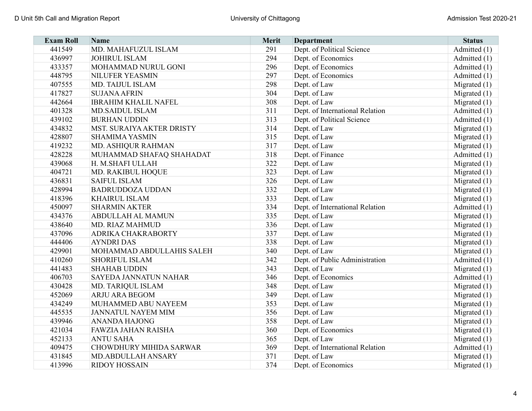| <b>Exam Roll</b> | <b>Name</b>                 | <b>Merit</b> | <b>Department</b>               | <b>Status</b>  |
|------------------|-----------------------------|--------------|---------------------------------|----------------|
| 441549           | MD. MAHAFUZUL ISLAM         | 291          | Dept. of Political Science      | Admitted (1)   |
| 436997           | <b>JOHIRUL ISLAM</b>        | 294          | Dept. of Economics              | Admitted (1)   |
| 433357           | MOHAMMAD NURUL GONI         | 296          | Dept. of Economics              | Admitted (1)   |
| 448795           | NILUFER YEASMIN             | 297          | Dept. of Economics              | Admitted (1)   |
| 407555           | MD. TAIJUL ISLAM            | 298          | Dept. of Law                    | Migrated $(1)$ |
| 417827           | <b>SUJANA AFRIN</b>         | 304          | Dept. of Law                    | Migrated $(1)$ |
| 442664           | <b>IBRAHIM KHALIL NAFEL</b> | 308          | Dept. of Law                    | Migrated $(1)$ |
| 401328           | <b>MD.SAIDUL ISLAM</b>      | 311          | Dept. of International Relation | Admitted (1)   |
| 439102           | <b>BURHAN UDDIN</b>         | 313          | Dept. of Political Science      | Admitted (1)   |
| 434832           | MST. SURAIYA AKTER DRISTY   | 314          | Dept. of Law                    | Migrated $(1)$ |
| 428807           | <b>SHAMIMA YASMIN</b>       | 315          | Dept. of Law                    | Migrated $(1)$ |
| 419232           | MD. ASHIQUR RAHMAN          | 317          | Dept. of Law                    | Migrated $(1)$ |
| 428228           | MUHAMMAD SHAFAQ SHAHADAT    | 318          | Dept. of Finance                | Admitted (1)   |
| 439068           | H. M.SHAFI ULLAH            | 322          | Dept. of Law                    | Migrated $(1)$ |
| 404721           | MD. RAKIBUL HOQUE           | 323          | Dept. of Law                    | Migrated $(1)$ |
| 436831           | <b>SAIFUL ISLAM</b>         | 326          | Dept. of Law                    | Migrated $(1)$ |
| 428994           | <b>BADRUDDOZA UDDAN</b>     | 332          | Dept. of Law                    | Migrated $(1)$ |
| 418396           | <b>KHAIRUL ISLAM</b>        | 333          | Dept. of Law                    | Migrated $(1)$ |
| 450097           | <b>SHARMIN AKTER</b>        | 334          | Dept. of International Relation | Admitted (1)   |
| 434376           | <b>ABDULLAH AL MAMUN</b>    | 335          | Dept. of Law                    | Migrated $(1)$ |
| 438640           | MD. RIAZ MAHMUD             | 336          | Dept. of Law                    | Migrated $(1)$ |
| 437096           | ADRIKA CHAKRABORTY          | 337          | Dept. of Law                    | Migrated $(1)$ |
| 444406           | <b>AYNDRI DAS</b>           | 338          | Dept. of Law                    | Migrated $(1)$ |
| 429901           | MOHAMMAD ABDULLAHIS SALEH   | 340          | Dept. of Law                    | Migrated $(1)$ |
| 410260           | <b>SHORIFUL ISLAM</b>       | 342          | Dept. of Public Administration  | Admitted (1)   |
| 441483           | <b>SHAHAB UDDIN</b>         | 343          | Dept. of Law                    | Migrated $(1)$ |
| 406703           | SAYEDA JANNATUN NAHAR       | 346          | Dept. of Economics              | Admitted (1)   |
| 430428           | MD. TARIQUL ISLAM           | 348          | Dept. of Law                    | Migrated $(1)$ |
| 452069           | <b>ARJU ARA BEGOM</b>       | 349          | Dept. of Law                    | Migrated $(1)$ |
| 434249           | MUHAMMED ABU NAYEEM         | 353          | Dept. of Law                    | Migrated $(1)$ |
| 445535           | <b>JANNATUL NAYEM MIM</b>   | 356          | Dept. of Law                    | Migrated $(1)$ |
| 439946           | <b>ANANDA HAJONG</b>        | 358          | Dept. of Law                    | Migrated $(1)$ |
| 421034           | FAWZIA JAHAN RAISHA         | 360          | Dept. of Economics              | Migrated $(1)$ |
| 452133           | <b>ANTU SAHA</b>            | 365          | Dept. of Law                    | Migrated $(1)$ |
| 409475           | CHOWDHURY MIHIDA SARWAR     | 369          | Dept. of International Relation | Admitted $(1)$ |
| 431845           | MD.ABDULLAH ANSARY          | 371          | Dept. of Law                    | Migrated $(1)$ |
| 413996           | <b>RIDOY HOSSAIN</b>        | 374          | Dept. of Economics              | Migrated $(1)$ |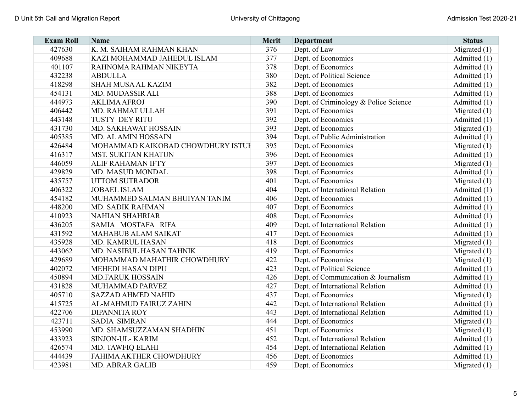| <b>Exam Roll</b> | <b>Name</b>                       | Merit | <b>Department</b>                     | <b>Status</b>  |
|------------------|-----------------------------------|-------|---------------------------------------|----------------|
| 427630           | K. M. SAIHAM RAHMAN KHAN          | 376   | Dept. of Law                          | Migrated $(1)$ |
| 409688           | KAZI MOHAMMAD JAHEDUL ISLAM       | 377   | Dept. of Economics                    | Admitted (1)   |
| 401107           | RAHNOMA RAHMAN NIKEYTA            | 378   | Dept. of Economics                    | Admitted (1)   |
| 432238           | <b>ABDULLA</b>                    | 380   | Dept. of Political Science            | Admitted (1)   |
| 418298           | <b>SHAH MUSA AL KAZIM</b>         | 382   | Dept. of Economics                    | Admitted (1)   |
| 454131           | MD. MUDASSIR ALI                  | 388   | Dept. of Economics                    | Admitted (1)   |
| 444973           | <b>AKLIMA AFROJ</b>               | 390   | Dept. of Criminology & Police Science | Admitted (1)   |
| 406442           | MD. RAHMAT ULLAH                  | 391   | Dept. of Economics                    | Migrated $(1)$ |
| 443148           | TUSTY DEY RITU                    | 392   | Dept. of Economics                    | Admitted (1)   |
| 431730           | MD. SAKHAWAT HOSSAIN              | 393   | Dept. of Economics                    | Migrated $(1)$ |
| 405385           | MD. AL AMIN HOSSAIN               | 394   | Dept. of Public Administration        | Admitted (1)   |
| 426484           | MOHAMMAD KAIKOBAD CHOWDHURY ISTUI | 395   | Dept. of Economics                    | Migrated $(1)$ |
| 416317           | MST. SUKITAN KHATUN               | 396   | Dept. of Economics                    | Admitted (1)   |
| 446059           | <b>ALIF RAHAMAN IFTY</b>          | 397   | Dept. of Economics                    | Migrated $(1)$ |
| 429829           | MD. MASUD MONDAL                  | 398   | Dept. of Economics                    | Admitted (1)   |
| 435757           | <b>UTTOM SUTRADOR</b>             | 401   | Dept. of Economics                    | Migrated $(1)$ |
| 406322           | <b>JOBAEL ISLAM</b>               | 404   | Dept. of International Relation       | Admitted (1)   |
| 454182           | MUHAMMED SALMAN BHUIYAN TANIM     | 406   | Dept. of Economics                    | Admitted (1)   |
| 448200           | MD. SADIK RAHMAN                  | 407   | Dept. of Economics                    | Admitted $(1)$ |
| 410923           | <b>NAHIAN SHAHRIAR</b>            | 408   | Dept. of Economics                    | Admitted (1)   |
| 436205           | SAMIA MOSTAFA RIFA                | 409   | Dept. of International Relation       | Admitted $(1)$ |
| 431592           | <b>MAHABUB ALAM SAIKAT</b>        | 417   | Dept. of Economics                    | Admitted (1)   |
| 435928           | MD. KAMRUL HASAN                  | 418   | Dept. of Economics                    | Migrated $(1)$ |
| 443062           | MD. NASIBUL HASAN TAHNIK          | 419   | Dept. of Economics                    | Migrated (1)   |
| 429689           | MOHAMMAD MAHATHIR CHOWDHURY       | 422   | Dept. of Economics                    | Migrated (1)   |
| 402072           | <b>MEHEDI HASAN DIPU</b>          | 423   | Dept. of Political Science            | Admitted (1)   |
| 450894           | <b>MD.FARUK HOSSAIN</b>           | 426   | Dept. of Communication & Journalism   | Admitted (1)   |
| 431828           | MUHAMMAD PARVEZ                   | 427   | Dept. of International Relation       | Admitted (1)   |
| 405710           | <b>SAZZAD AHMED NAHID</b>         | 437   | Dept. of Economics                    | Migrated $(1)$ |
| 415725           | AL-MAHMUD FAIRUZ ZAHIN            | 442   | Dept. of International Relation       | Admitted (1)   |
| 422706           | <b>DIPANNITA ROY</b>              | 443   | Dept. of International Relation       | Admitted (1)   |
| 423711           | <b>SADIA SIMRAN</b>               | 444   | Dept. of Economics                    | Migrated $(1)$ |
| 453990           | MD. SHAMSUZZAMAN SHADHIN          | 451   | Dept. of Economics                    | Migrated $(1)$ |
| 433923           | SINJON-UL-KARIM                   | 452   | Dept. of International Relation       | Admitted (1)   |
| 426574           | MD. TAWFIQ ELAHI                  | 454   | Dept. of International Relation       | Admitted (1)   |
| 444439           | FAHIMA AKTHER CHOWDHURY           | 456   | Dept. of Economics                    | Admitted (1)   |
| 423981           | <b>MD. ABRAR GALIB</b>            | 459   | Dept. of Economics                    | Migrated $(1)$ |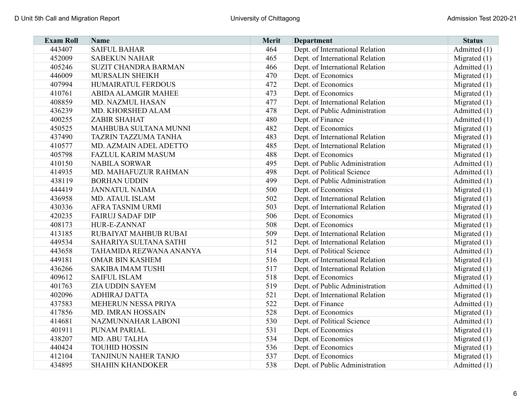| <b>Exam Roll</b> | <b>Name</b>                  | Merit | <b>Department</b>               | <b>Status</b>  |
|------------------|------------------------------|-------|---------------------------------|----------------|
| 443407           | <b>SAIFUL BAHAR</b>          | 464   | Dept. of International Relation | Admitted (1)   |
| 452009           | <b>SABEKUN NAHAR</b>         | 465   | Dept. of International Relation | Migrated $(1)$ |
| 405246           | <b>SUZIT CHANDRA BARMAN</b>  | 466   | Dept. of International Relation | Admitted (1)   |
| 446009           | <b>MURSALIN SHEIKH</b>       | 470   | Dept. of Economics              | Migrated $(1)$ |
| 407994           | HUMAIRATUL FERDOUS           | 472   | Dept. of Economics              | Migrated $(1)$ |
| 410761           | <b>ABIDA ALAMGIR MAHEE</b>   | 473   | Dept. of Economics              | Migrated $(1)$ |
| 408859           | MD. NAZMUL HASAN             | 477   | Dept. of International Relation | Migrated $(1)$ |
| 436239           | MD. KHORSHED ALAM            | 478   | Dept. of Public Administration  | Admitted (1)   |
| 400255           | <b>ZABIR SHAHAT</b>          | 480   | Dept. of Finance                | Admitted (1)   |
| 450525           | MAHBUBA SULTANA MUNNI        | 482   | Dept. of Economics              | Migrated $(1)$ |
| 437490           | <b>TAZRIN TAZZUMA TANHA</b>  | 483   | Dept. of International Relation | Migrated $(1)$ |
| 410577           | MD. AZMAIN ADEL ADETTO       | 485   | Dept. of International Relation | Migrated $(1)$ |
| 405798           | <b>FAZLUL KARIM MASUM</b>    | 488   | Dept. of Economics              | Migrated $(1)$ |
| 410150           | <b>NABILA SORWAR</b>         | 495   | Dept. of Public Administration  | Admitted (1)   |
| 414935           | MD. MAHAFUZUR RAHMAN         | 498   | Dept. of Political Science      | Admitted (1)   |
| 438119           | <b>BORHAN UDDIN</b>          | 499   | Dept. of Public Administration  | Admitted (1)   |
| 444419           | <b>JANNATUL NAIMA</b>        | 500   | Dept. of Economics              | Migrated $(1)$ |
| 436958           | <b>MD. ATAUL ISLAM</b>       | 502   | Dept. of International Relation | Migrated $(1)$ |
| 430336           | <b>AFRA TASNIM URMI</b>      | 503   | Dept. of International Relation | Migrated $(1)$ |
| 420235           | <b>FAIRUJ SADAF DIP</b>      | 506   | Dept. of Economics              | Migrated $(1)$ |
| 408173           | HUR-E-ZANNAT                 | 508   | Dept. of Economics              | Migrated $(1)$ |
| 413185           | <b>RUBAIYAT MAHBUB RUBAI</b> | 509   | Dept. of International Relation | Migrated $(1)$ |
| 449534           | SAHARIYA SULTANA SATHI       | 512   | Dept. of International Relation | Migrated $(1)$ |
| 443658           | TAHAMIDA REZWANA ANANYA      | 514   | Dept. of Political Science      | Admitted (1)   |
| 449181           | <b>OMAR BIN KASHEM</b>       | 516   | Dept. of International Relation | Migrated $(1)$ |
| 436266           | <b>SAKIBA IMAM TUSHI</b>     | 517   | Dept. of International Relation | Migrated $(1)$ |
| 409612           | <b>SAIFUL ISLAM</b>          | 518   | Dept. of Economics              | Migrated $(1)$ |
| 401763           | <b>ZIA UDDIN SAYEM</b>       | 519   | Dept. of Public Administration  | Admitted (1)   |
| 402096           | <b>ADHIRAJ DATTA</b>         | 521   | Dept. of International Relation | Migrated $(1)$ |
| 437583           | MEHERUN NESSA PRIYA          | 522   | Dept. of Finance                | Admitted (1)   |
| 417856           | MD. IMRAN HOSSAIN            | 528   | Dept. of Economics              | Migrated $(1)$ |
| 414681           | NAZMUNNAHAR LABONI           | 530   | Dept. of Political Science      | Admitted (1)   |
| 401911           | PUNAM PARIAL                 | 531   | Dept. of Economics              | Migrated $(1)$ |
| 438207           | <b>MD. ABU TALHA</b>         | 534   | Dept. of Economics              | Migrated $(1)$ |
| 440424           | <b>TOUHID HOSSIN</b>         | 536   | Dept. of Economics              | Migrated $(1)$ |
| 412104           | TANJINUN NAHER TANJO         | 537   | Dept. of Economics              | Migrated $(1)$ |
| 434895           | <b>SHAHIN KHANDOKER</b>      | 538   | Dept. of Public Administration  | Admitted (1)   |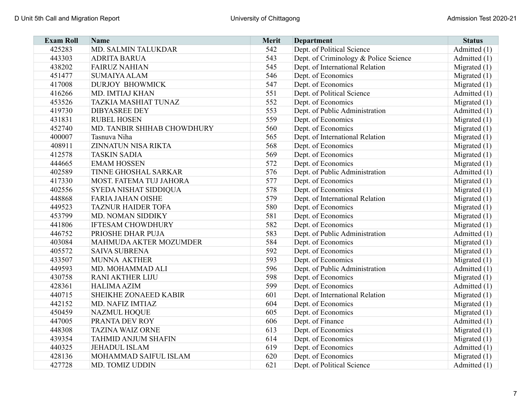| <b>Exam Roll</b> | <b>Name</b>                 | <b>Merit</b> | <b>Department</b>                     | <b>Status</b>  |
|------------------|-----------------------------|--------------|---------------------------------------|----------------|
| 425283           | MD. SALMIN TALUKDAR         | 542          | Dept. of Political Science            | Admitted (1)   |
| 443303           | <b>ADRITA BARUA</b>         | 543          | Dept. of Criminology & Police Science | Admitted (1)   |
| 438202           | <b>FAIRUZ NAHIAN</b>        | 545          | Dept. of International Relation       | Migrated $(1)$ |
| 451477           | <b>SUMAIYA ALAM</b>         | 546          | Dept. of Economics                    | Migrated $(1)$ |
| 417008           | <b>DURJOY BHOWMICK</b>      | 547          | Dept. of Economics                    | Migrated $(1)$ |
| 416266           | MD. IMTIAJ KHAN             | 551          | Dept. of Political Science            | Admitted (1)   |
| 453526           | <b>TAZKIA MASHIAT TUNAZ</b> | 552          | Dept. of Economics                    | Migrated $(1)$ |
| 419730           | <b>DIBYASREE DEY</b>        | 553          | Dept. of Public Administration        | Admitted (1)   |
| 431831           | <b>RUBEL HOSEN</b>          | 559          | Dept. of Economics                    | Migrated $(1)$ |
| 452740           | MD. TANBIR SHIHAB CHOWDHURY | 560          | Dept. of Economics                    | Migrated $(1)$ |
| 400007           | Tasnuva Niha                | 565          | Dept. of International Relation       | Migrated $(1)$ |
| 408911           | ZINNATUN NISA RIKTA         | 568          | Dept. of Economics                    | Migrated $(1)$ |
| 412578           | <b>TASKIN SADIA</b>         | 569          | Dept. of Economics                    | Migrated $(1)$ |
| 444665           | <b>EMAM HOSSEN</b>          | 572          | Dept. of Economics                    | Migrated $(1)$ |
| 402589           | TINNE GHOSHAL SARKAR        | 576          | Dept. of Public Administration        | Admitted (1)   |
| 417330           | MOST. FATEMA TUJ JAHORA     | 577          | Dept. of Economics                    | Migrated $(1)$ |
| 402556           | SYEDA NISHAT SIDDIQUA       | 578          | Dept. of Economics                    | Migrated $(1)$ |
| 448868           | <b>FARIA JAHAN OISHE</b>    | 579          | Dept. of International Relation       | Migrated $(1)$ |
| 449523           | <b>TAZNUR HAIDER TOFA</b>   | 580          | Dept. of Economics                    | Migrated $(1)$ |
| 453799           | MD. NOMAN SIDDIKY           | 581          | Dept. of Economics                    | Migrated $(1)$ |
| 441806           | <b>IFTESAM CHOWDHURY</b>    | 582          | Dept. of Economics                    | Migrated $(1)$ |
| 446752           | PRIOSHE DHAR PUJA           | 583          | Dept. of Public Administration        | Admitted $(1)$ |
| 403084           | MAHMUDA AKTER MOZUMDER      | 584          | Dept. of Economics                    | Migrated $(1)$ |
| 405572           | <b>SAIVA SUBRENA</b>        | 592          | Dept. of Economics                    | Migrated (1)   |
| 433507           | <b>MUNNA AKTHER</b>         | 593          | Dept. of Economics                    | Migrated $(1)$ |
| 449593           | MD. MOHAMMAD ALI            | 596          | Dept. of Public Administration        | Admitted (1)   |
| 430758           | <b>RANI AKTHER LIJU</b>     | 598          | Dept. of Economics                    | Migrated $(1)$ |
| 428361           | <b>HALIMA AZIM</b>          | 599          | Dept. of Economics                    | Admitted (1)   |
| 440715           | SHEIKHE ZONAEED KABIR       | 601          | Dept. of International Relation       | Migrated (1)   |
| 442152           | MD. NAFIZ IMTIAZ            | 604          | Dept. of Economics                    | Migrated $(1)$ |
| 450459           | <b>NAZMUL HOQUE</b>         | 605          | Dept. of Economics                    | Migrated $(1)$ |
| 447005           | PRANTA DEV ROY              | 606          | Dept. of Finance                      | Admitted (1)   |
| 448308           | <b>TAZINA WAIZ ORNE</b>     | 613          | Dept. of Economics                    | Migrated $(1)$ |
| 439354           | <b>TAHMID ANJUM SHAFIN</b>  | 614          | Dept. of Economics                    | Migrated $(1)$ |
| 440325           | <b>JEHADUL ISLAM</b>        | 619          | Dept. of Economics                    | Admitted $(1)$ |
| 428136           | MOHAMMAD SAIFUL ISLAM       | 620          | Dept. of Economics                    | Migrated $(1)$ |
| 427728           | MD. TOMIZ UDDIN             | 621          | Dept. of Political Science            | Admitted (1)   |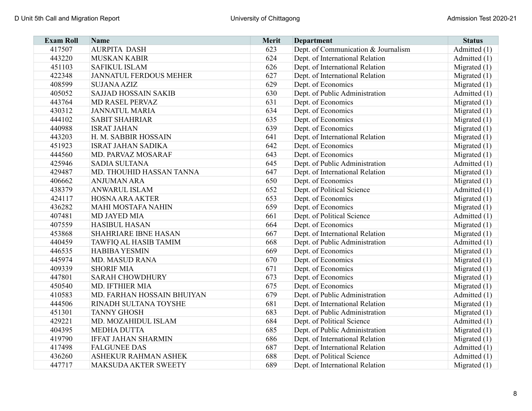| <b>Exam Roll</b> | Name                          | <b>Merit</b> | <b>Department</b>                   | <b>Status</b>  |
|------------------|-------------------------------|--------------|-------------------------------------|----------------|
| 417507           | <b>AURPITA DASH</b>           | 623          | Dept. of Communication & Journalism | Admitted (1)   |
| 443220           | <b>MUSKAN KABIR</b>           | 624          | Dept. of International Relation     | Admitted (1)   |
| 451103           | <b>SAFIKUL ISLAM</b>          | 626          | Dept. of International Relation     | Migrated $(1)$ |
| 422348           | <b>JANNATUL FERDOUS MEHER</b> | 627          | Dept. of International Relation     | Migrated $(1)$ |
| 408599           | <b>SUJANA AZIZ</b>            | 629          | Dept. of Economics                  | Migrated $(1)$ |
| 405052           | <b>SAJJAD HOSSAIN SAKIB</b>   | 630          | Dept. of Public Administration      | Admitted (1)   |
| 443764           | <b>MD RASEL PERVAZ</b>        | 631          | Dept. of Economics                  | Migrated $(1)$ |
| 430312           | <b>JANNATUL MARIA</b>         | 634          | Dept. of Economics                  | Migrated $(1)$ |
| 444102           | <b>SABIT SHAHRIAR</b>         | 635          | Dept. of Economics                  | Migrated $(1)$ |
| 440988           | <b>ISRAT JAHAN</b>            | 639          | Dept. of Economics                  | Migrated $(1)$ |
| 443203           | H. M. SABBIR HOSSAIN          | 641          | Dept. of International Relation     | Migrated $(1)$ |
| 451923           | <b>ISRAT JAHAN SADIKA</b>     | 642          | Dept. of Economics                  | Migrated $(1)$ |
| 444560           | MD. PARVAZ MOSARAF            | 643          | Dept. of Economics                  | Migrated $(1)$ |
| 425946           | <b>SADIA SULTANA</b>          | 645          | Dept. of Public Administration      | Admitted (1)   |
| 429487           | MD. THOUHID HASSAN TANNA      | 647          | Dept. of International Relation     | Migrated (1)   |
| 406662           | <b>ANJUMAN ARA</b>            | 650          | Dept. of Economics                  | Migrated $(1)$ |
| 438379           | <b>ANWARUL ISLAM</b>          | 652          | Dept. of Political Science          | Admitted (1)   |
| 424117           | <b>HOSNA ARA AKTER</b>        | 653          | Dept. of Economics                  | Migrated $(1)$ |
| 436282           | <b>MAHI MOSTAFA NAHIN</b>     | 659          | Dept. of Economics                  | Migrated $(1)$ |
| 407481           | <b>MD JAYED MIA</b>           | 661          | Dept. of Political Science          | Admitted (1)   |
| 407559           | <b>HASIBUL HASAN</b>          | 664          | Dept. of Economics                  | Migrated $(1)$ |
| 453868           | <b>SHAHRIARE IBNE HASAN</b>   | 667          | Dept. of International Relation     | Migrated $(1)$ |
| 440459           | <b>TAWFIQ AL HASIB TAMIM</b>  | 668          | Dept. of Public Administration      | Admitted (1)   |
| 446535           | <b>HABIBA YESMIN</b>          | 669          | Dept. of Economics                  | Migrated $(1)$ |
| 445974           | <b>MD. MASUD RANA</b>         | 670          | Dept. of Economics                  | Migrated $(1)$ |
| 409339           | <b>SHORIF MIA</b>             | 671          | Dept. of Economics                  | Migrated $(1)$ |
| 447801           | <b>SARAH CHOWDHURY</b>        | 673          | Dept. of Economics                  | Migrated $(1)$ |
| 450540           | MD. IFTHIER MIA               | 675          | Dept. of Economics                  | Migrated $(1)$ |
| 410583           | MD. FARHAN HOSSAIN BHUIYAN    | 679          | Dept. of Public Administration      | Admitted (1)   |
| 444506           | RINADH SULTANA TOYSHE         | 681          | Dept. of International Relation     | Migrated $(1)$ |
| 451301           | <b>TANNY GHOSH</b>            | 683          | Dept. of Public Administration      | Migrated $(1)$ |
| 429221           | MD. MOZAHIDUL ISLAM           | 684          | Dept. of Political Science          | Admitted (1)   |
| 404395           | <b>MEDHA DUTTA</b>            | 685          | Dept. of Public Administration      | Migrated $(1)$ |
| 419790           | <b>IFFAT JAHAN SHARMIN</b>    | 686          | Dept. of International Relation     | Migrated $(1)$ |
| 417498           | <b>FALGUNEE DAS</b>           | 687          | Dept. of International Relation     | Admitted (1)   |
| 436260           | ASHEKUR RAHMAN ASHEK          | 688          | Dept. of Political Science          | Admitted (1)   |
| 447717           | MAKSUDA AKTER SWEETY          | 689          | Dept. of International Relation     | Migrated $(1)$ |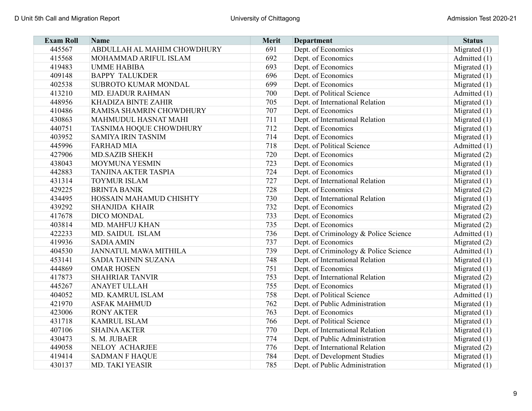| <b>Exam Roll</b> | <b>Name</b>                  | Merit | <b>Department</b>                     | <b>Status</b>  |
|------------------|------------------------------|-------|---------------------------------------|----------------|
| 445567           | ABDULLAH AL MAHIM CHOWDHURY  | 691   | Dept. of Economics                    | Migrated (1)   |
| 415568           | MOHAMMAD ARIFUL ISLAM        | 692   | Dept. of Economics                    | Admitted (1)   |
| 419483           | <b>UMME HABIBA</b>           | 693   | Dept. of Economics                    | Migrated (1)   |
| 409148           | <b>BAPPY TALUKDER</b>        | 696   | Dept. of Economics                    | Migrated $(1)$ |
| 402538           | SUBROTO KUMAR MONDAL         | 699   | Dept. of Economics                    | Migrated $(1)$ |
| 413210           | MD. EJADUR RAHMAN            | 700   | Dept. of Political Science            | Admitted (1)   |
| 448956           | KHADIZA BINTE ZAHIR          | 705   | Dept. of International Relation       | Migrated $(1)$ |
| 410486           | RAMISA SHAMRIN CHOWDHURY     | 707   | Dept. of Economics                    | Migrated $(1)$ |
| 430863           | MAHMUDUL HASNAT MAHI         | 711   | Dept. of International Relation       | Migrated $(1)$ |
| 440751           | TASNIMA HOQUE CHOWDHURY      | 712   | Dept. of Economics                    | Migrated $(1)$ |
| 403952           | <b>SAMIYA IRIN TASNIM</b>    | 714   | Dept. of Economics                    | Migrated $(1)$ |
| 445996           | <b>FARHAD MIA</b>            | 718   | Dept. of Political Science            | Admitted (1)   |
| 427906           | <b>MD.SAZIB SHEKH</b>        | 720   | Dept. of Economics                    | Migrated $(2)$ |
| 438043           | <b>MOYMUNA YESMIN</b>        | 723   | Dept. of Economics                    | Migrated $(1)$ |
| 442883           | TANJINA AKTER TASPIA         | 724   | Dept. of Economics                    | Migrated $(1)$ |
| 431314           | <b>TOYMUR ISLAM</b>          | 727   | Dept. of International Relation       | Migrated $(1)$ |
| 429225           | <b>BRINTA BANIK</b>          | 728   | Dept. of Economics                    | Migrated (2)   |
| 434495           | HOSSAIN MAHAMUD CHISHTY      | 730   | Dept. of International Relation       | Migrated $(1)$ |
| 439292           | <b>SHANJIDA KHAIR</b>        | 732   | Dept. of Economics                    | Migrated $(2)$ |
| 417678           | DICO MONDAL                  | 733   | Dept. of Economics                    | Migrated $(2)$ |
| 403814           | MD. MAHFUJ KHAN              | 735   | Dept. of Economics                    | Migrated $(2)$ |
| 422233           | MD. SAIDUL ISLAM             | 736   | Dept. of Criminology & Police Science | Admitted (1)   |
| 419936           | <b>SADIA AMIN</b>            | 737   | Dept. of Economics                    | Migrated $(2)$ |
| 404530           | <b>JANNATUL MAWA MITHILA</b> | 739   | Dept. of Criminology & Police Science | Admitted (1)   |
| 453141           | <b>SADIA TAHNIN SUZANA</b>   | 748   | Dept. of International Relation       | Migrated $(1)$ |
| 444869           | <b>OMAR HOSEN</b>            | 751   | Dept. of Economics                    | Migrated (1)   |
| 417873           | <b>SHAHRIAR TANVIR</b>       | 753   | Dept. of International Relation       | Migrated $(2)$ |
| 445267           | <b>ANAYET ULLAH</b>          | 755   | Dept. of Economics                    | Migrated $(1)$ |
| 404052           | MD. KAMRUL ISLAM             | 758   | Dept. of Political Science            | Admitted (1)   |
| 421970           | <b>ASFAK MAHMUD</b>          | 762   | Dept. of Public Administration        | Migrated $(1)$ |
| 423006           | <b>RONY AKTER</b>            | 763   | Dept. of Economics                    | Migrated $(1)$ |
| 431718           | <b>KAMRUL ISLAM</b>          | 766   | Dept. of Political Science            | Migrated $(1)$ |
| 407106           | <b>SHAINA AKTER</b>          | 770   | Dept. of International Relation       | Migrated $(1)$ |
| 430473           | S. M. JUBAER                 | 774   | Dept. of Public Administration        | Migrated $(1)$ |
| 449058           | NELOY ACHARJEE               | 776   | Dept. of International Relation       | Migrated $(2)$ |
| 419414           | <b>SADMAN F HAQUE</b>        | 784   | Dept. of Development Studies          | Migrated $(1)$ |
| 430137           | MD. TAKI YEASIR              | 785   | Dept. of Public Administration        | Migrated $(1)$ |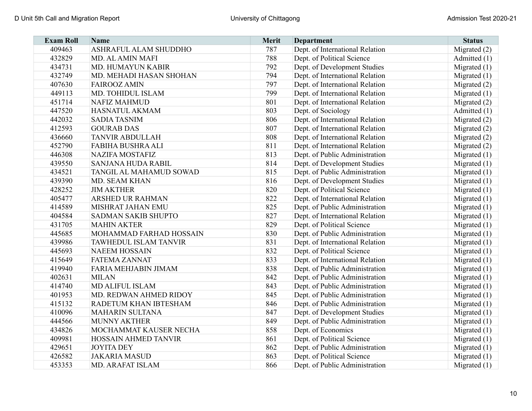| <b>Exam Roll</b> | <b>Name</b>                 | Merit | <b>Department</b>               | <b>Status</b>  |
|------------------|-----------------------------|-------|---------------------------------|----------------|
| 409463           | ASHRAFUL ALAM SHUDDHO       | 787   | Dept. of International Relation | Migrated (2)   |
| 432829           | MD. AL AMIN MAFI            | 788   | Dept. of Political Science      | Admitted (1)   |
| 434731           | MD. HUMAYUN KABIR           | 792   | Dept. of Development Studies    | Migrated $(1)$ |
| 432749           | MD. MEHADI HASAN SHOHAN     | 794   | Dept. of International Relation | Migrated $(1)$ |
| 407630           | <b>FAIROOZ AMIN</b>         | 797   | Dept. of International Relation | Migrated $(2)$ |
| 449113           | MD. TOHIDUL ISLAM           | 799   | Dept. of International Relation | Migrated $(1)$ |
| 451714           | <b>NAFIZ MAHMUD</b>         | 801   | Dept. of International Relation | Migrated (2)   |
| 447520           | HASNATUL AKMAM              | 803   | Dept. of Sociology              | Admitted (1)   |
| 442032           | <b>SADIA TASNIM</b>         | 806   | Dept. of International Relation | Migrated $(2)$ |
| 412593           | <b>GOURAB DAS</b>           | 807   | Dept. of International Relation | Migrated (2)   |
| 436660           | <b>TANVIR ABDULLAH</b>      | 808   | Dept. of International Relation | Migrated $(2)$ |
| 452790           | <b>FABIHA BUSHRA ALI</b>    | 811   | Dept. of International Relation | Migrated (2)   |
| 446308           | <b>NAZIFA MOSTAFIZ</b>      | 813   | Dept. of Public Administration  | Migrated $(1)$ |
| 439550           | SANJANA HUDA RABIL          | 814   | Dept. of Development Studies    | Migrated $(1)$ |
| 434521           | TANGIL AL MAHAMUD SOWAD     | 815   | Dept. of Public Administration  | Migrated $(1)$ |
| 439390           | MD. SEAM KHAN               | 816   | Dept. of Development Studies    | Migrated $(1)$ |
| 428252           | <b>JIM AKTHER</b>           | 820   | Dept. of Political Science      | Migrated $(1)$ |
| 405477           | <b>ARSHED UR RAHMAN</b>     | 822   | Dept. of International Relation | Migrated $(1)$ |
| 414589           | <b>MISHRAT JAHAN EMU</b>    | 825   | Dept. of Public Administration  | Migrated $(1)$ |
| 404584           | <b>SADMAN SAKIB SHUPTO</b>  | 827   | Dept. of International Relation | Migrated $(1)$ |
| 431705           | <b>MAHIN AKTER</b>          | 829   | Dept. of Political Science      | Migrated $(1)$ |
| 445685           | MOHAMMAD FARHAD HOSSAIN     | 830   | Dept. of Public Administration  | Migrated $(1)$ |
| 439986           | TAWHEDUL ISLAM TANVIR       | 831   | Dept. of International Relation | Migrated $(1)$ |
| 445693           | <b>NAEEM HOSSAIN</b>        | 832   | Dept. of Political Science      | Migrated $(1)$ |
| 415649           | <b>FATEMA ZANNAT</b>        | 833   | Dept. of International Relation | Migrated $(1)$ |
| 419940           | FARIA MEHJABIN JIMAM        | 838   | Dept. of Public Administration  | Migrated $(1)$ |
| 402631           | <b>MILAN</b>                | 842   | Dept. of Public Administration  | Migrated $(1)$ |
| 414740           | MD ALIFUL ISLAM             | 843   | Dept. of Public Administration  | Migrated $(1)$ |
| 401953           | MD. REDWAN AHMED RIDOY      | 845   | Dept. of Public Administration  | Migrated $(1)$ |
| 415132           | RADETUM KHAN IBTESHAM       | 846   | Dept. of Public Administration  | Migrated $(1)$ |
| 410096           | <b>MAHARIN SULTANA</b>      | 847   | Dept. of Development Studies    | Migrated $(1)$ |
| 444566           | <b>MUNNY AKTHER</b>         | 849   | Dept. of Public Administration  | Migrated $(1)$ |
| 434826           | MOCHAMMAT KAUSER NECHA      | 858   | Dept. of Economics              | Migrated $(1)$ |
| 409981           | <b>HOSSAIN AHMED TANVIR</b> | 861   | Dept. of Political Science      | Migrated $(1)$ |
| 429651           | <b>JOYITA DEY</b>           | 862   | Dept. of Public Administration  | Migrated $(1)$ |
| 426582           | <b>JAKARIA MASUD</b>        | 863   | Dept. of Political Science      | Migrated $(1)$ |
| 453353           | MD. ARAFAT ISLAM            | 866   | Dept. of Public Administration  | Migrated $(1)$ |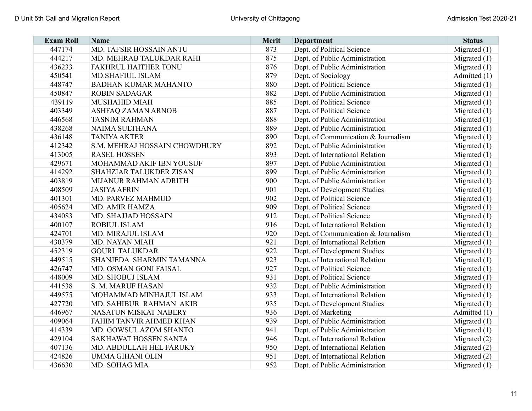| <b>Exam Roll</b> | <b>Name</b>                    | <b>Merit</b> | <b>Department</b>                   | <b>Status</b>  |
|------------------|--------------------------------|--------------|-------------------------------------|----------------|
| 447174           | MD. TAFSIR HOSSAIN ANTU        | 873          | Dept. of Political Science          | Migrated $(1)$ |
| 444217           | MD. MEHRAB TALUKDAR RAHI       | 875          | Dept. of Public Administration      | Migrated $(1)$ |
| 436233           | <b>FAKHRUL HAITHER TONU</b>    | 876          | Dept. of Public Administration      | Migrated $(1)$ |
| 450541           | <b>MD.SHAFIUL ISLAM</b>        | 879          | Dept. of Sociology                  | Admitted (1)   |
| 448747           | <b>BADHAN KUMAR MAHANTO</b>    | 880          | Dept. of Political Science          | Migrated $(1)$ |
| 450847           | <b>ROBIN SADAGAR</b>           | 882          | Dept. of Public Administration      | Migrated $(1)$ |
| 439119           | MUSHAHID MIAH                  | 885          | Dept. of Political Science          | Migrated $(1)$ |
| 403349           | <b>ASHFAQ ZAMAN ARNOB</b>      | 887          | Dept. of Political Science          | Migrated $(1)$ |
| 446568           | <b>TASNIM RAHMAN</b>           | 888          | Dept. of Public Administration      | Migrated $(1)$ |
| 438268           | NAIMA SULTHANA                 | 889          | Dept. of Public Administration      | Migrated $(1)$ |
| 436148           | <b>TANIYA AKTER</b>            | 890          | Dept. of Communication & Journalism | Migrated $(1)$ |
| 412342           | S.M. MEHRAJ HOSSAIN CHOWDHURY  | 892          | Dept. of Public Administration      | Migrated $(1)$ |
| 413005           | <b>RASEL HOSSEN</b>            | 893          | Dept. of International Relation     | Migrated $(1)$ |
| 429671           | MOHAMMAD AKIF IBN YOUSUF       | 897          | Dept. of Public Administration      | Migrated $(1)$ |
| 414292           | <b>SHAHZIAR TALUKDER ZISAN</b> | 899          | Dept. of Public Administration      | Migrated $(1)$ |
| 403819           | MIJANUR RAHMAN ADRITH          | 900          | Dept. of Public Administration      | Migrated $(1)$ |
| 408509           | <b>JASIYA AFRIN</b>            | 901          | Dept. of Development Studies        | Migrated $(1)$ |
| 401301           | MD. PARVEZ MAHMUD              | 902          | Dept. of Political Science          | Migrated $(1)$ |
| 405624           | <b>MD. AMIR HAMZA</b>          | 909          | Dept. of Political Science          | Migrated $(1)$ |
| 434083           | <b>MD. SHAJJAD HOSSAIN</b>     | 912          | Dept. of Political Science          | Migrated $(1)$ |
| 400107           | <b>ROBIUL ISLAM</b>            | 916          | Dept. of International Relation     | Migrated $(1)$ |
| 424701           | MD. MIRAJUL ISLAM              | 920          | Dept. of Communication & Journalism | Migrated $(1)$ |
| 430379           | MD. NAYAN MIAH                 | 921          | Dept. of International Relation     | Migrated $(1)$ |
| 452319           | <b>GOURI TALUKDAR</b>          | 922          | Dept. of Development Studies        | Migrated $(1)$ |
| 449515           | SHANJEDA SHARMIN TAMANNA       | 923          | Dept. of International Relation     | Migrated $(1)$ |
| 426747           | MD. OSMAN GONI FAISAL          | 927          | Dept. of Political Science          | Migrated $(1)$ |
| 448009           | MD. SHOBUJ ISLAM               | 931          | Dept. of Political Science          | Migrated $(1)$ |
| 441538           | S. M. MARUF HASAN              | 932          | Dept. of Public Administration      | Migrated $(1)$ |
| 449575           | MOHAMMAD MINHAJUL ISLAM        | 933          | Dept. of International Relation     | Migrated $(1)$ |
| 427720           | MD. SAHIBUR RAHMAN AKIB        | 935          | Dept. of Development Studies        | Migrated $(1)$ |
| 446967           | <b>NASATUN MISKAT NABERY</b>   | 936          | Dept. of Marketing                  | Admitted (1)   |
| 409064           | FAHIM TANVIR AHMED KHAN        | 939          | Dept. of Public Administration      | Migrated $(1)$ |
| 414339           | MD. GOWSUL AZOM SHANTO         | 941          | Dept. of Public Administration      | Migrated $(1)$ |
| 429104           | SAKHAWAT HOSSEN SANTA          | 946          | Dept. of International Relation     | Migrated $(2)$ |
| 407136           | MD. ABDULLAH HEL FARUKY        | 950          | Dept. of International Relation     | Migrated $(2)$ |
| 424826           | UMMA GIHANI OLIN               | 951          | Dept. of International Relation     | Migrated $(2)$ |
| 436630           | MD. SOHAG MIA                  | 952          | Dept. of Public Administration      | Migrated $(1)$ |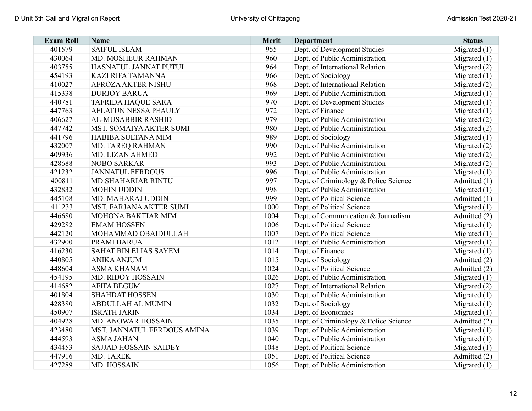| <b>Exam Roll</b> | Name                         | <b>Merit</b> | <b>Department</b>                     | <b>Status</b>  |
|------------------|------------------------------|--------------|---------------------------------------|----------------|
| 401579           | <b>SAIFUL ISLAM</b>          | 955          | Dept. of Development Studies          | Migrated $(1)$ |
| 430064           | MD. MOSHEUR RAHMAN           | 960          | Dept. of Public Administration        | Migrated $(1)$ |
| 403755           | HASNATUL JANNAT PUTUL        | 964          | Dept. of International Relation       | Migrated (2)   |
| 454193           | <b>KAZI RIFA TAMANNA</b>     | 966          | Dept. of Sociology                    | Migrated $(1)$ |
| 410027           | <b>AFROZA AKTER NISHU</b>    | 968          | Dept. of International Relation       | Migrated $(2)$ |
| 415338           | <b>DURJOY BARUA</b>          | 969          | Dept. of Public Administration        | Migrated $(1)$ |
| 440781           | <b>TAFRIDA HAQUE SARA</b>    | 970          | Dept. of Development Studies          | Migrated $(1)$ |
| 447763           | <b>AFLATUN NESSA PEAULY</b>  | 972          | Dept. of Finance                      | Migrated $(1)$ |
| 406627           | <b>AL-MUSABBIR RASHID</b>    | 979          | Dept. of Public Administration        | Migrated (2)   |
| 447742           | MST. SOMAIYA AKTER SUMI      | 980          | Dept. of Public Administration        | Migrated (2)   |
| 441796           | HABIBA SULTANA MIM           | 989          | Dept. of Sociology                    | Migrated $(1)$ |
| 432007           | MD. TAREQ RAHMAN             | 990          | Dept. of Public Administration        | Migrated (2)   |
| 409936           | MD. LIZAN AHMED              | 992          | Dept. of Public Administration        | Migrated (2)   |
| 428688           | <b>NOBO SARKAR</b>           | 993          | Dept. of Public Administration        | Migrated (2)   |
| 421232           | <b>JANNATUL FERDOUS</b>      | 996          | Dept. of Public Administration        | Migrated $(1)$ |
| 400811           | <b>MD.SHAHARIAR RINTU</b>    | 997          | Dept. of Criminology & Police Science | Admitted (1)   |
| 432832           | <b>MOHIN UDDIN</b>           | 998          | Dept. of Public Administration        | Migrated $(1)$ |
| 445108           | MD. MAHARAJ UDDIN            | 999          | Dept. of Political Science            | Admitted (1)   |
| 411233           | MST. FARJANA AKTER SUMI      | 1000         | Dept. of Political Science            | Migrated $(1)$ |
| 446680           | <b>MOHONA BAKTIAR MIM</b>    | 1004         | Dept. of Communication & Journalism   | Admitted (2)   |
| 429282           | <b>EMAM HOSSEN</b>           | 1006         | Dept. of Political Science            | Migrated $(1)$ |
| 442120           | MOHAMMAD OBAIDULLAH          | 1007         | Dept. of Political Science            | Migrated $(1)$ |
| 432900           | <b>PRAMI BARUA</b>           | 1012         | Dept. of Public Administration        | Migrated $(1)$ |
| 416230           | <b>SAHAT BIN ELIAS SAYEM</b> | 1014         | Dept. of Finance                      | Migrated $(1)$ |
| 440805           | <b>ANIKA ANJUM</b>           | 1015         | Dept. of Sociology                    | Admitted (2)   |
| 448604           | <b>ASMA KHANAM</b>           | 1024         | Dept. of Political Science            | Admitted (2)   |
| 454195           | <b>MD. RIDOY HOSSAIN</b>     | 1026         | Dept. of Public Administration        | Migrated $(1)$ |
| 414682           | <b>AFIFA BEGUM</b>           | 1027         | Dept. of International Relation       | Migrated (2)   |
| 401804           | <b>SHAHDAT HOSSEN</b>        | 1030         | Dept. of Public Administration        | Migrated $(1)$ |
| 428380           | <b>ABDULLAH AL MUMIN</b>     | 1032         | Dept. of Sociology                    | Migrated $(1)$ |
| 450907           | <b>ISRATH JARIN</b>          | 1034         | Dept. of Economics                    | Migrated $(1)$ |
| 404928           | MD. ANOWAR HOSSAIN           | 1035         | Dept. of Criminology & Police Science | Admitted (2)   |
| 423480           | MST. JANNATUL FERDOUS AMINA  | 1039         | Dept. of Public Administration        | Migrated $(1)$ |
| 444593           | <b>ASMA JAHAN</b>            | 1040         | Dept. of Public Administration        | Migrated $(1)$ |
| 434453           | <b>SAJJAD HOSSAIN SAIDEY</b> | 1048         | Dept. of Political Science            | Migrated $(1)$ |
| 447916           | MD. TAREK                    | 1051         | Dept. of Political Science            | Admitted (2)   |
| 427289           | MD. HOSSAIN                  | 1056         | Dept. of Public Administration        | Migrated $(1)$ |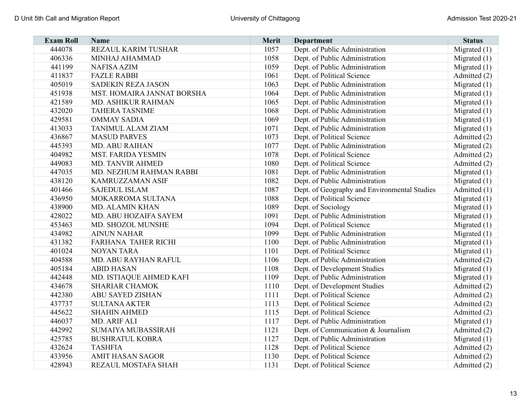| <b>Exam Roll</b> | <b>Name</b>                       | <b>Merit</b> | <b>Department</b>                            | <b>Status</b>  |
|------------------|-----------------------------------|--------------|----------------------------------------------|----------------|
| 444078           | REZAUL KARIM TUSHAR               | 1057         | Dept. of Public Administration               | Migrated $(1)$ |
| 406336           | MINHAJ AHAMMAD                    | 1058         | Dept. of Public Administration               | Migrated $(1)$ |
| 441199           | <b>NAFISA AZIM</b>                | 1059         | Dept. of Public Administration               | Migrated $(1)$ |
| 411837           | <b>FAZLE RABBI</b>                | 1061         | Dept. of Political Science                   | Admitted (2)   |
| 405019           | <b>SADEKIN REZA JASON</b>         | 1063         | Dept. of Public Administration               | Migrated $(1)$ |
| 451938           | <b>MST. HOMAIRA JANNAT BORSHA</b> | 1064         | Dept. of Public Administration               | Migrated $(1)$ |
| 421589           | <b>MD. ASHIKUR RAHMAN</b>         | 1065         | Dept. of Public Administration               | Migrated $(1)$ |
| 432020           | <b>TAHERA TASNIME</b>             | 1068         | Dept. of Public Administration               | Migrated $(1)$ |
| 429581           | <b>OMMAY SADIA</b>                | 1069         | Dept. of Public Administration               | Migrated $(1)$ |
| 413033           | <b>TANIMUL ALAM ZIAM</b>          | 1071         | Dept. of Public Administration               | Migrated $(1)$ |
| 436867           | <b>MASUD PARVES</b>               | 1073         | Dept. of Political Science                   | Admitted (2)   |
| 445393           | <b>MD. ABU RAIHAN</b>             | 1077         | Dept. of Public Administration               | Migrated (2)   |
| 404982           | <b>MST. FARIDA YESMIN</b>         | 1078         | Dept. of Political Science                   | Admitted (2)   |
| 449083           | <b>MD. TANVIR AHMED</b>           | 1080         | Dept. of Political Science                   | Admitted (2)   |
| 447035           | MD. NEZHUM RAHMAN RABBI           | 1081         | Dept. of Public Administration               | Migrated $(1)$ |
| 438120           | KAMRUZZAMAN ASIF                  | 1082         | Dept. of Public Administration               | Migrated $(1)$ |
| 401466           | <b>SAJEDUL ISLAM</b>              | 1087         | Dept. of Geography and Environmental Studies | Admitted (1)   |
| 436950           | MOKARROMA SULTANA                 | 1088         | Dept. of Political Science                   | Migrated $(1)$ |
| 438900           | <b>MD. ALAMIN KHAN</b>            | 1089         | Dept. of Sociology                           | Migrated $(1)$ |
| 428022           | MD. ABU HOZAIFA SAYEM             | 1091         | Dept. of Public Administration               | Migrated $(1)$ |
| 453463           | MD. SHOZOL MUNSHE                 | 1094         | Dept. of Political Science                   | Migrated $(1)$ |
| 434982           | <b>AINUN NAHAR</b>                | 1099         | Dept. of Public Administration               | Migrated $(1)$ |
| 431382           | <b>FARHANA TAHER RICHI</b>        | 1100         | Dept. of Public Administration               | Migrated $(1)$ |
| 401024           | <b>NOYAN TARA</b>                 | 1101         | Dept. of Political Science                   | Migrated $(1)$ |
| 404588           | MD. ABU RAYHAN RAFUL              | 1106         | Dept. of Public Administration               | Admitted (2)   |
| 405184           | <b>ABID HASAN</b>                 | 1108         | Dept. of Development Studies                 | Migrated $(1)$ |
| 442448           | MD. ISTIAQUE AHMED KAFI           | 1109         | Dept. of Public Administration               | Migrated $(1)$ |
| 434678           | <b>SHARIAR CHAMOK</b>             | 1110         | Dept. of Development Studies                 | Admitted (2)   |
| 442380           | ABU SAYED ZISHAN                  | 1111         | Dept. of Political Science                   | Admitted (2)   |
| 437737           | <b>SULTANA AKTER</b>              | 1113         | Dept. of Political Science                   | Admitted (2)   |
| 445622           | <b>SHAHIN AHMED</b>               | 1115         | Dept. of Political Science                   | Admitted (2)   |
| 446037           | MD. ARIF ALI                      | 1117         | Dept. of Public Administration               | Migrated $(1)$ |
| 442992           | SUMAIYA MUBASSIRAH                | 1121         | Dept. of Communication & Journalism          | Admitted (2)   |
| 425785           | <b>BUSHRATUL KOBRA</b>            | 1127         | Dept. of Public Administration               | Migrated $(1)$ |
| 432624           | <b>TASHFIA</b>                    | 1128         | Dept. of Political Science                   | Admitted (2)   |
| 433956           | <b>AMIT HASAN SAGOR</b>           | 1130         | Dept. of Political Science                   | Admitted (2)   |
| 428943           | REZAUL MOSTAFA SHAH               | 1131         | Dept. of Political Science                   | Admitted (2)   |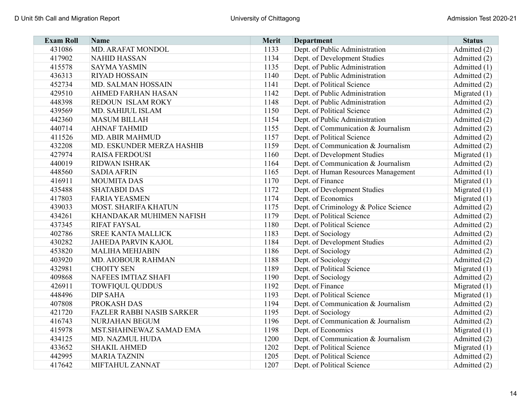| <b>Exam Roll</b> | <b>Name</b>                      | Merit | <b>Department</b>                     | <b>Status</b>  |
|------------------|----------------------------------|-------|---------------------------------------|----------------|
| 431086           | MD. ARAFAT MONDOL                | 1133  | Dept. of Public Administration        | Admitted (2)   |
| 417902           | <b>NAHID HASSAN</b>              | 1134  | Dept. of Development Studies          | Admitted (2)   |
| 415578           | <b>SAYMA YASMIN</b>              | 1135  | Dept. of Public Administration        | Admitted (1)   |
| 436313           | <b>RIYAD HOSSAIN</b>             | 1140  | Dept. of Public Administration        | Admitted (2)   |
| 452734           | MD. SALMAN HOSSAIN               | 1141  | Dept. of Political Science            | Admitted (2)   |
| 429510           | <b>AHMED FARHAN HASAN</b>        | 1142  | Dept. of Public Administration        | Migrated $(1)$ |
| 448398           | REDOUN ISLAM ROKY                | 1148  | Dept. of Public Administration        | Admitted (2)   |
| 439569           | MD. SAHIJUL ISLAM                | 1150  | Dept. of Political Science            | Admitted (2)   |
| 442360           | <b>MASUM BILLAH</b>              | 1154  | Dept. of Public Administration        | Admitted (2)   |
| 440714           | <b>AHNAF TAHMID</b>              | 1155  | Dept. of Communication & Journalism   | Admitted (2)   |
| 411526           | <b>MD. ABIR MAHMUD</b>           | 1157  | Dept. of Political Science            | Admitted (2)   |
| 432208           | MD. ESKUNDER MERZA HASHIB        | 1159  | Dept. of Communication & Journalism   | Admitted (2)   |
| 427974           | <b>RAISA FERDOUSI</b>            | 1160  | Dept. of Development Studies          | Migrated (1)   |
| 440019           | <b>RIDWAN ISHRAK</b>             | 1164  | Dept. of Communication & Journalism   | Admitted (2)   |
| 448560           | <b>SADIA AFRIN</b>               | 1165  | Dept. of Human Resources Management   | Admitted (1)   |
| 416911           | <b>MOUMITA DAS</b>               | 1170  | Dept. of Finance                      | Migrated $(1)$ |
| 435488           | <b>SHATABDI DAS</b>              | 1172  | Dept. of Development Studies          | Migrated $(1)$ |
| 417803           | <b>FARIA YEASMEN</b>             | 1174  | Dept. of Economics                    | Migrated $(1)$ |
| 439033           | <b>MOST. SHARIFA KHATUN</b>      | 1175  | Dept. of Criminology & Police Science | Admitted (2)   |
| 434261           | KHANDAKAR MUHIMEN NAFISH         | 1179  | Dept. of Political Science            | Admitted (2)   |
| 437345           | <b>RIFAT FAYSAL</b>              | 1180  | Dept. of Political Science            | Admitted (2)   |
| 402786           | <b>SREE KANTA MALLICK</b>        | 1183  | Dept. of Sociology                    | Admitted (2)   |
| 430282           | <b>JAHEDA PARVIN KAJOL</b>       | 1184  | Dept. of Development Studies          | Admitted (2)   |
| 453820           | <b>MALIHA MEHJABIN</b>           | 1186  | Dept. of Sociology                    | Admitted (2)   |
| 403920           | <b>MD. AIOBOUR RAHMAN</b>        | 1188  | Dept. of Sociology                    | Admitted (2)   |
| 432981           | <b>CHOITY SEN</b>                | 1189  | Dept. of Political Science            | Migrated $(1)$ |
| 409868           | NAFEES IMTIAZ SHAFI              | 1190  | Dept. of Sociology                    | Admitted (2)   |
| 426911           | <b>TOWFIQUL QUDDUS</b>           | 1192  | Dept. of Finance                      | Migrated $(1)$ |
| 448496           | <b>DIP SAHA</b>                  | 1193  | Dept. of Political Science            | Migrated (1)   |
| 407808           | PROKASH DAS                      | 1194  | Dept. of Communication & Journalism   | Admitted (2)   |
| 421720           | <b>FAZLER RABBI NASIB SARKER</b> | 1195  | Dept. of Sociology                    | Admitted (2)   |
| 416743           | <b>NURJAHAN BEGUM</b>            | 1196  | Dept. of Communication & Journalism   | Admitted (2)   |
| 415978           | MST.SHAHNEWAZ SAMAD EMA          | 1198  | Dept. of Economics                    | Migrated $(1)$ |
| 434125           | MD. NAZMUL HUDA                  | 1200  | Dept. of Communication & Journalism   | Admitted (2)   |
| 433652           | <b>SHAKIL AHMED</b>              | 1202  | Dept. of Political Science            | Migrated $(1)$ |
| 442995           | <b>MARIA TAZNIN</b>              | 1205  | Dept. of Political Science            | Admitted (2)   |
| 417642           | MIFTAHUL ZANNAT                  | 1207  | Dept. of Political Science            | Admitted (2)   |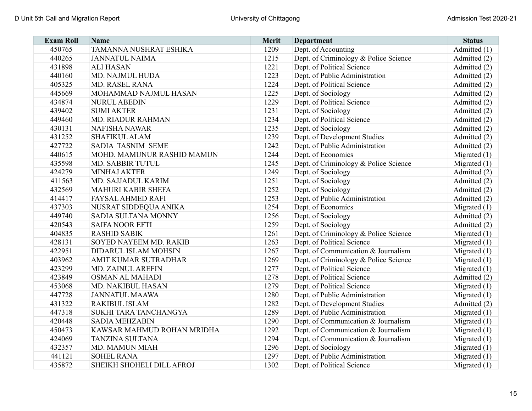| <b>Exam Roll</b> | <b>Name</b>                 | Merit | <b>Department</b>                     | <b>Status</b>  |
|------------------|-----------------------------|-------|---------------------------------------|----------------|
| 450765           | TAMANNA NUSHRAT ESHIKA      | 1209  | Dept. of Accounting                   | Admitted (1)   |
| 440265           | <b>JANNATUL NAIMA</b>       | 1215  | Dept. of Criminology & Police Science | Admitted (2)   |
| 431898           | <b>ALI HASAN</b>            | 1221  | Dept. of Political Science            | Admitted (2)   |
| 440160           | MD. NAJMUL HUDA             | 1223  | Dept. of Public Administration        | Admitted (2)   |
| 405325           | MD. RASEL RANA              | 1224  | Dept. of Political Science            | Admitted (2)   |
| 445669           | MOHAMMAD NAJMUL HASAN       | 1225  | Dept. of Sociology                    | Admitted (2)   |
| 434874           | <b>NURUL ABEDIN</b>         | 1229  | Dept. of Political Science            | Admitted (2)   |
| 439402           | <b>SUMI AKTER</b>           | 1231  | Dept. of Sociology                    | Admitted (2)   |
| 449460           | <b>MD. RIADUR RAHMAN</b>    | 1234  | Dept. of Political Science            | Admitted (2)   |
| 430131           | <b>NAFISHA NAWAR</b>        | 1235  | Dept. of Sociology                    | Admitted (2)   |
| 431252           | <b>SHAFIKUL ALAM</b>        | 1239  | Dept. of Development Studies          | Admitted (2)   |
| 427722           | SADIA TASNIM SEME           | 1242  | Dept. of Public Administration        | Admitted (2)   |
| 440615           | MOHD. MAMUNUR RASHID MAMUN  | 1244  | Dept. of Economics                    | Migrated $(1)$ |
| 435598           | MD. SABBIR TUTUL            | 1245  | Dept. of Criminology & Police Science | Migrated $(1)$ |
| 424279           | <b>MINHAJ AKTER</b>         | 1249  | Dept. of Sociology                    | Admitted (2)   |
| 411563           | MD. SAJJADUL KARIM          | 1251  | Dept. of Sociology                    | Admitted (2)   |
| 432569           | <b>MAHURI KABIR SHEFA</b>   | 1252  | Dept. of Sociology                    | Admitted (2)   |
| 414417           | <b>FAYSAL AHMED RAFI</b>    | 1253  | Dept. of Public Administration        | Admitted (2)   |
| 437303           | NUSRAT SIDDEQUA ANIKA       | 1254  | Dept. of Economics                    | Migrated $(1)$ |
| 449740           | SADIA SULTANA MONNY         | 1256  | Dept. of Sociology                    | Admitted (2)   |
| 420543           | <b>SAIFA NOOR EFTI</b>      | 1259  | Dept. of Sociology                    | Admitted (2)   |
| 404835           | <b>RASHID SABIK</b>         | 1261  | Dept. of Criminology & Police Science | Migrated $(1)$ |
| 428131           | SOYED NAYEEM MD. RAKIB      | 1263  | Dept. of Political Science            | Migrated $(1)$ |
| 422951           | <b>DIDARUL ISLAM MOHSIN</b> | 1267  | Dept. of Communication & Journalism   | Migrated $(1)$ |
| 403962           | AMIT KUMAR SUTRADHAR        | 1269  | Dept. of Criminology & Police Science | Migrated $(1)$ |
| 423299           | MD. ZAINUL AREFIN           | 1277  | Dept. of Political Science            | Migrated (1)   |
| 423849           | <b>OSMAN AL MAHADI</b>      | 1278  | Dept. of Political Science            | Admitted (2)   |
| 453068           | MD. NAKIBUL HASAN           | 1279  | Dept. of Political Science            | Migrated $(1)$ |
| 447728           | <b>JANNATUL MAAWA</b>       | 1280  | Dept. of Public Administration        | Migrated $(1)$ |
| 431322           | <b>RAKIBUL ISLAM</b>        | 1282  | Dept. of Development Studies          | Admitted (2)   |
| 447318           | SUKHI TARA TANCHANGYA       | 1289  | Dept. of Public Administration        | Migrated $(1)$ |
| 420448           | <b>SADIA MEHZABIN</b>       | 1290  | Dept. of Communication & Journalism   | Migrated $(1)$ |
| 450473           | KAWSAR MAHMUD ROHAN MRIDHA  | 1292  | Dept. of Communication & Journalism   | Migrated $(1)$ |
| 424069           | <b>TANZINA SULTANA</b>      | 1294  | Dept. of Communication & Journalism   | Migrated $(1)$ |
| 432357           | <b>MD. MAMUN MIAH</b>       | 1296  | Dept. of Sociology                    | Migrated $(1)$ |
| 441121           | <b>SOHEL RANA</b>           | 1297  | Dept. of Public Administration        | Migrated $(1)$ |
| 435872           | SHEIKH SHOHELI DILL AFROJ   | 1302  | Dept. of Political Science            | Migrated $(1)$ |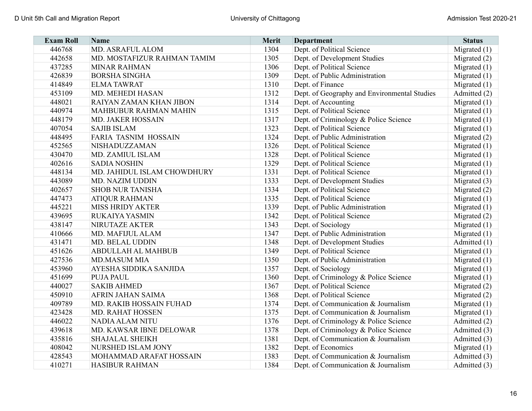| <b>Exam Roll</b> | Name                         | <b>Merit</b> | <b>Department</b>                            | <b>Status</b>  |
|------------------|------------------------------|--------------|----------------------------------------------|----------------|
| 446768           | <b>MD. ASRAFUL ALOM</b>      | 1304         | Dept. of Political Science                   | Migrated $(1)$ |
| 442658           | MD. MOSTAFIZUR RAHMAN TAMIM  | 1305         | Dept. of Development Studies                 | Migrated $(2)$ |
| 437285           | <b>MINAR RAHMAN</b>          | 1306         | Dept. of Political Science                   | Migrated $(1)$ |
| 426839           | <b>BORSHA SINGHA</b>         | 1309         | Dept. of Public Administration               | Migrated $(1)$ |
| 414849           | <b>ELMATAWRAT</b>            | 1310         | Dept. of Finance                             | Migrated $(1)$ |
| 453109           | <b>MD. MEHEDI HASAN</b>      | 1312         | Dept. of Geography and Environmental Studies | Admitted (2)   |
| 448021           | RAIYAN ZAMAN KHAN JIBON      | 1314         | Dept. of Accounting                          | Migrated $(1)$ |
| 440974           | <b>MAHBUBUR RAHMAN MAHIN</b> | 1315         | Dept. of Political Science                   | Migrated $(1)$ |
| 448179           | <b>MD. JAKER HOSSAIN</b>     | 1317         | Dept. of Criminology & Police Science        | Migrated $(1)$ |
| 407054           | <b>SAJIB ISLAM</b>           | 1323         | Dept. of Political Science                   | Migrated $(1)$ |
| 448495           | <b>FARIA TASNIM HOSSAIN</b>  | 1324         | Dept. of Public Administration               | Migrated (2)   |
| 452565           | NISHADUZZAMAN                | 1326         | Dept. of Political Science                   | Migrated $(1)$ |
| 430470           | MD. ZAMIUL ISLAM             | 1328         | Dept. of Political Science                   | Migrated $(1)$ |
| 402616           | <b>SADIA NOSHIN</b>          | 1329         | Dept. of Political Science                   | Migrated $(1)$ |
| 448134           | MD. JAHIDUL ISLAM CHOWDHURY  | 1331         | Dept. of Political Science                   | Migrated $(1)$ |
| 443089           | MD. NAZIM UDDIN              | 1333         | Dept. of Development Studies                 | Migrated $(3)$ |
| 402657           | <b>SHOB NUR TANISHA</b>      | 1334         | Dept. of Political Science                   | Migrated $(2)$ |
| 447473           | <b>ATIQUR RAHMAN</b>         | 1335         | Dept. of Political Science                   | Migrated $(1)$ |
| 445221           | <b>MISS HRIDY AKTER</b>      | 1339         | Dept. of Public Administration               | Migrated $(1)$ |
| 439695           | <b>RUKAIYA YASMIN</b>        | 1342         | Dept. of Political Science                   | Migrated $(2)$ |
| 438147           | <b>NIRUTAZE AKTER</b>        | 1343         | Dept. of Sociology                           | Migrated $(1)$ |
| 410666           | MD. MAFIJUL ALAM             | 1347         | Dept. of Public Administration               | Migrated $(1)$ |
| 431471           | MD. BELAL UDDIN              | 1348         | Dept. of Development Studies                 | Admitted (1)   |
| 451626           | <b>ABDULLAH AL MAHBUB</b>    | 1349         | Dept. of Political Science                   | Migrated $(1)$ |
| 427536           | <b>MD.MASUM MIA</b>          | 1350         | Dept. of Public Administration               | Migrated $(1)$ |
| 453960           | AYESHA SIDDIKA SANJIDA       | 1357         | Dept. of Sociology                           | Migrated $(1)$ |
| 451699           | <b>PUJA PAUL</b>             | 1360         | Dept. of Criminology & Police Science        | Migrated $(1)$ |
| 440027           | <b>SAKIB AHMED</b>           | 1367         | Dept. of Political Science                   | Migrated (2)   |
| 450910           | AFRIN JAHAN SAIMA            | 1368         | Dept. of Political Science                   | Migrated (2)   |
| 409789           | MD. RAKIB HOSSAIN FUHAD      | 1374         | Dept. of Communication & Journalism          | Migrated $(1)$ |
| 423428           | <b>MD. RAHAT HOSSEN</b>      | 1375         | Dept. of Communication & Journalism          | Migrated $(1)$ |
| 446022           | <b>NADIA ALAM NITU</b>       | 1376         | Dept. of Criminology & Police Science        | Admitted (2)   |
| 439618           | MD. KAWSAR IBNE DELOWAR      | 1378         | Dept. of Criminology & Police Science        | Admitted (3)   |
| 435816           | <b>SHAJALAL SHEIKH</b>       | 1381         | Dept. of Communication & Journalism          | Admitted (3)   |
| 408042           | NURSHED ISLAM JONY           | 1382         | Dept. of Economics                           | Migrated $(1)$ |
| 428543           | MOHAMMAD ARAFAT HOSSAIN      | 1383         | Dept. of Communication & Journalism          | Admitted (3)   |
| 410271           | <b>HASIBUR RAHMAN</b>        | 1384         | Dept. of Communication & Journalism          | Admitted (3)   |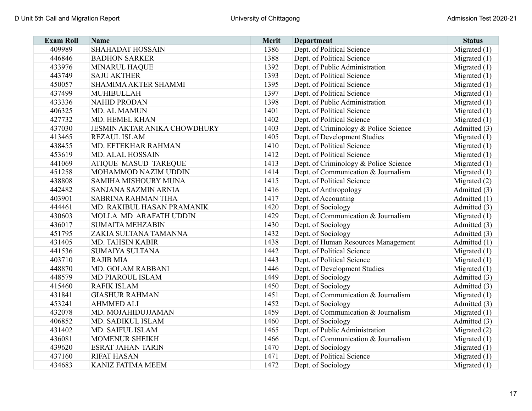| <b>Exam Roll</b> | <b>Name</b>                         | Merit | <b>Department</b>                     | <b>Status</b>  |
|------------------|-------------------------------------|-------|---------------------------------------|----------------|
| 409989           | <b>SHAHADAT HOSSAIN</b>             | 1386  | Dept. of Political Science            | Migrated $(1)$ |
| 446846           | <b>BADHON SARKER</b>                | 1388  | Dept. of Political Science            | Migrated $(1)$ |
| 433976           | <b>MINARUL HAQUE</b>                | 1392  | Dept. of Public Administration        | Migrated $(1)$ |
| 443749           | <b>SAJU AKTHER</b>                  | 1393  | Dept. of Political Science            | Migrated $(1)$ |
| 450057           | <b>SHAMIMA AKTER SHAMMI</b>         | 1395  | Dept. of Political Science            | Migrated $(1)$ |
| 437499           | <b>MUHIBULLAH</b>                   | 1397  | Dept. of Political Science            | Migrated $(1)$ |
| 433336           | <b>NAHID PRODAN</b>                 | 1398  | Dept. of Public Administration        | Migrated $(1)$ |
| 406325           | MD. AL MAMUN                        | 1401  | Dept. of Political Science            | Migrated (1)   |
| 427732           | MD. HEMEL KHAN                      | 1402  | Dept. of Political Science            | Migrated $(1)$ |
| 437030           | <b>JESMIN AKTAR ANIKA CHOWDHURY</b> | 1403  | Dept. of Criminology & Police Science | Admitted (3)   |
| 413465           | <b>REZAUL ISLAM</b>                 | 1405  | Dept. of Development Studies          | Migrated $(1)$ |
| 438455           | MD. EFTEKHAR RAHMAN                 | 1410  | Dept. of Political Science            | Migrated $(1)$ |
| 453619           | <b>MD. ALAL HOSSAIN</b>             | 1412  | Dept. of Political Science            | Migrated $(1)$ |
| 441069           | <b>ATIQUE MASUD TAREQUE</b>         | 1413  | Dept. of Criminology & Police Science | Migrated $(1)$ |
| 451258           | MOHAMMOD NAZIM UDDIN                | 1414  | Dept. of Communication & Journalism   | Migrated $(1)$ |
| 438808           | SAMIHA MISHOURY MUNA                | 1415  | Dept. of Political Science            | Migrated $(2)$ |
| 442482           | SANJANA SAZMIN ARNIA                | 1416  | Dept. of Anthropology                 | Admitted (3)   |
| 403901           | SABRINA RAHMAN TIHA                 | 1417  | Dept. of Accounting                   | Admitted (1)   |
| 444461           | MD. RAKIBUL HASAN PRAMANIK          | 1420  | Dept. of Sociology                    | Admitted (3)   |
| 430603           | MOLLA MD ARAFATH UDDIN              | 1429  | Dept. of Communication & Journalism   | Migrated $(1)$ |
| 436017           | <b>SUMAITA MEHZABIN</b>             | 1430  | Dept. of Sociology                    | Admitted (3)   |
| 451795           | ZAKIA SULTANA TAMANNA               | 1432  | Dept. of Sociology                    | Admitted (3)   |
| 431405           | MD. TAHSIN KABIR                    | 1438  | Dept. of Human Resources Management   | Admitted (1)   |
| 441536           | <b>SUMAIYA SULTANA</b>              | 1442  | Dept. of Political Science            | Migrated $(1)$ |
| 403710           | <b>RAJIB MIA</b>                    | 1443  | Dept. of Political Science            | Migrated (1)   |
| 448870           | MD. GOLAM RABBANI                   | 1446  | Dept. of Development Studies          | Migrated $(1)$ |
| 448579           | MD PIAROUL ISLAM                    | 1449  | Dept. of Sociology                    | Admitted (3)   |
| 415460           | <b>RAFIK ISLAM</b>                  | 1450  | Dept. of Sociology                    | Admitted (3)   |
| 431841           | <b>GIASHUR RAHMAN</b>               | 1451  | Dept. of Communication & Journalism   | Migrated $(1)$ |
| 453241           | <b>AHMMED ALI</b>                   | 1452  | Dept. of Sociology                    | Admitted (3)   |
| 432078           | MD. MOJAHIDUJJAMAN                  | 1459  | Dept. of Communication & Journalism   | Migrated $(1)$ |
| 406852           | MD. SADIKUL ISLAM                   | 1460  | Dept. of Sociology                    | Admitted (3)   |
| 431402           | MD. SAIFUL ISLAM                    | 1465  | Dept. of Public Administration        | Migrated $(2)$ |
| 436081           | <b>MOMENUR SHEIKH</b>               | 1466  | Dept. of Communication & Journalism   | Migrated $(1)$ |
| 439620           | <b>ESRAT JAHAN TARIN</b>            | 1470  | Dept. of Sociology                    | Migrated $(1)$ |
| 437160           | <b>RIFAT HASAN</b>                  | 1471  | Dept. of Political Science            | Migrated $(1)$ |
| 434683           | <b>KANIZ FATIMA MEEM</b>            | 1472  | Dept. of Sociology                    | Migrated $(1)$ |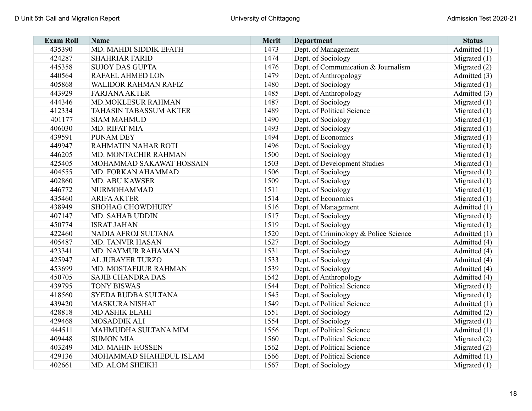| <b>Exam Roll</b> | <b>Name</b>                   | Merit | <b>Department</b>                     | <b>Status</b>  |
|------------------|-------------------------------|-------|---------------------------------------|----------------|
| 435390           | MD. MAHDI SIDDIK EFATH        | 1473  | Dept. of Management                   | Admitted (1)   |
| 424287           | <b>SHAHRIAR FARID</b>         | 1474  | Dept. of Sociology                    | Migrated $(1)$ |
| 445358           | <b>SUJOY DAS GUPTA</b>        | 1476  | Dept. of Communication & Journalism   | Migrated $(2)$ |
| 440564           | RAFAEL AHMED LON              | 1479  | Dept. of Anthropology                 | Admitted (3)   |
| 405868           | <b>WALIDOR RAHMAN RAFIZ</b>   | 1480  | Dept. of Sociology                    | Migrated $(1)$ |
| 443929           | <b>FARJANA AKTER</b>          | 1485  | Dept. of Anthropology                 | Admitted (3)   |
| 444346           | MD.MOKLESUR RAHMAN            | 1487  | Dept. of Sociology                    | Migrated $(1)$ |
| 412334           | <b>TAHASIN TABASSUM AKTER</b> | 1489  | Dept. of Political Science            | Migrated $(1)$ |
| 401177           | <b>SIAM MAHMUD</b>            | 1490  | Dept. of Sociology                    | Migrated $(1)$ |
| 406030           | MD. RIFAT MIA                 | 1493  | Dept. of Sociology                    | Migrated $(1)$ |
| 439591           | <b>PUNAM DEY</b>              | 1494  | Dept. of Economics                    | Migrated $(1)$ |
| 449947           | RAHMATIN NAHAR ROTI           | 1496  | Dept. of Sociology                    | Migrated $(1)$ |
| 446205           | MD. MONTACHIR RAHMAN          | 1500  | Dept. of Sociology                    | Migrated (1)   |
| 425405           | MOHAMMAD SAKAWAT HOSSAIN      | 1503  | Dept. of Development Studies          | Migrated $(1)$ |
| 404555           | MD. FORKAN AHAMMAD            | 1506  | Dept. of Sociology                    | Migrated $(1)$ |
| 402860           | <b>MD. ABU KAWSER</b>         | 1509  | Dept. of Sociology                    | Migrated $(1)$ |
| 446772           | <b>NURMOHAMMAD</b>            | 1511  | Dept. of Sociology                    | Migrated $(1)$ |
| 435460           | <b>ARIFA AKTER</b>            | 1514  | Dept. of Economics                    | Migrated $(1)$ |
| 438949           | <b>SHOHAG CHOWDHURY</b>       | 1516  | Dept. of Management                   | Admitted (1)   |
| 407147           | <b>MD. SAHAB UDDIN</b>        | 1517  | Dept. of Sociology                    | Migrated $(1)$ |
| 450774           | <b>ISRAT JAHAN</b>            | 1519  | Dept. of Sociology                    | Migrated $(1)$ |
| 422460           | NADIA AFROJ SULTANA           | 1520  | Dept. of Criminology & Police Science | Admitted (1)   |
| 405487           | <b>MD. TANVIR HASAN</b>       | 1527  | Dept. of Sociology                    | Admitted (4)   |
| 423341           | MD. NAYMUR RAHAMAN            | 1531  | Dept. of Sociology                    | Admitted (4)   |
| 425947           | AL JUBAYER TURZO              | 1533  | Dept. of Sociology                    | Admitted (4)   |
| 453699           | MD. MOSTAFIJUR RAHMAN         | 1539  | Dept. of Sociology                    | Admitted (4)   |
| 450705           | <b>SAJIB CHANDRA DAS</b>      | 1542  | Dept. of Anthropology                 | Admitted (4)   |
| 439795           | <b>TONY BISWAS</b>            | 1544  | Dept. of Political Science            | Migrated $(1)$ |
| 418560           | SYEDA RUDBA SULTANA           | 1545  | Dept. of Sociology                    | Migrated $(1)$ |
| 439420           | <b>MASKURA NISHAT</b>         | 1549  | Dept. of Political Science            | Admitted (1)   |
| 428818           | <b>MD ASHIK ELAHI</b>         | 1551  | Dept. of Sociology                    | Admitted (2)   |
| 429468           | <b>MOSADDIK ALI</b>           | 1554  | Dept. of Sociology                    | Migrated $(1)$ |
| 444511           | MAHMUDHA SULTANA MIM          | 1556  | Dept. of Political Science            | Admitted (1)   |
| 409448           | <b>SUMON MIA</b>              | 1560  | Dept. of Political Science            | Migrated $(2)$ |
| 403249           | MD. MAHIN HOSSEN              | 1562  | Dept. of Political Science            | Migrated $(2)$ |
| 429136           | MOHAMMAD SHAHEDUL ISLAM       | 1566  | Dept. of Political Science            | Admitted (1)   |
| 402661           | MD. ALOM SHEIKH               | 1567  | Dept. of Sociology                    | Migrated $(1)$ |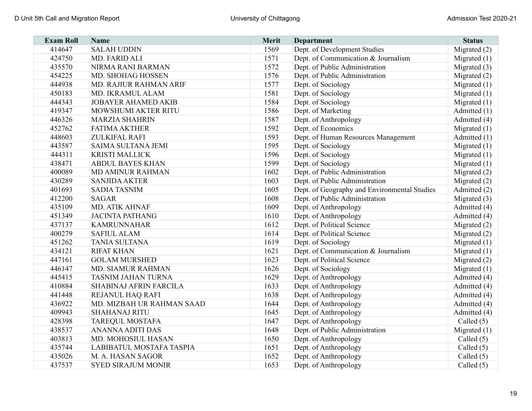| <b>Exam Roll</b> | <b>Name</b>                   | Merit | Department                                   | <b>Status</b>  |
|------------------|-------------------------------|-------|----------------------------------------------|----------------|
| 414647           | <b>SALAH UDDIN</b>            | 1569  | Dept. of Development Studies                 | Migrated $(2)$ |
| 424750           | MD. FARID ALI                 | 1571  | Dept. of Communication & Journalism          | Migrated $(1)$ |
| 435570           | NIRMA RANI BARMAN             | 1572  | Dept. of Public Administration               | Migrated (3)   |
| 454225           | MD. SHOHAG HOSSEN             | 1576  | Dept. of Public Administration               | Migrated $(2)$ |
| 444938           | <b>MD. RAJIUR RAHMAN ARIF</b> | 1577  | Dept. of Sociology                           | Migrated $(1)$ |
| 450183           | MD. IKRAMUL ALAM              | 1581  | Dept. of Sociology                           | Migrated $(1)$ |
| 444343           | <b>JOBAYER AHAMED AKIB</b>    | 1584  | Dept. of Sociology                           | Migrated $(1)$ |
| 419347           | MOWSHUMI AKTER RITU           | 1586  | Dept. of Marketing                           | Admitted (1)   |
| 446326           | <b>MARZIA SHAHRIN</b>         | 1587  | Dept. of Anthropology                        | Admitted (4)   |
| 452762           | <b>FATIMA AKTHER</b>          | 1592  | Dept. of Economics                           | Migrated $(1)$ |
| 448603           | ZULKIFAL RAFI                 | 1593  | Dept. of Human Resources Management          | Admitted (1)   |
| 443587           | SAIMA SULTANA JEMI            | 1595  | Dept. of Sociology                           | Migrated $(1)$ |
| 444311           | <b>KRISTI MALLICK</b>         | 1596  | Dept. of Sociology                           | Migrated $(1)$ |
| 438471           | <b>ABDUL BAYES KHAN</b>       | 1599  | Dept. of Sociology                           | Migrated $(1)$ |
| 400089           | <b>MD AMINUR RAHMAN</b>       | 1602  | Dept. of Public Administration               | Migrated (2)   |
| 430289           | <b>SANJIDA AKTER</b>          | 1603  | Dept. of Public Administration               | Migrated $(2)$ |
| 401693           | <b>SADIA TASNIM</b>           | 1605  | Dept. of Geography and Environmental Studies | Admitted (2)   |
| 412200           | <b>SAGAR</b>                  | 1608  | Dept. of Public Administration               | Migrated $(3)$ |
| 435109           | MD. ATIK AHNAF                | 1609  | Dept. of Anthropology                        | Admitted (4)   |
| 451349           | <b>JACINTA PATHANG</b>        | 1610  | Dept. of Anthropology                        | Admitted (4)   |
| 437137           | <b>KAMRUNNAHAR</b>            | 1612  | Dept. of Political Science                   | Migrated $(2)$ |
| 400279           | <b>SAFIUL ALAM</b>            | 1614  | Dept. of Political Science                   | Migrated (2)   |
| 451262           | <b>TANIA SULTANA</b>          | 1619  | Dept. of Sociology                           | Migrated $(1)$ |
| 434121           | <b>RIFAT KHAN</b>             | 1621  | Dept. of Communication & Journalism          | Migrated $(1)$ |
| 447161           | <b>GOLAM MURSHED</b>          | 1623  | Dept. of Political Science                   | Migrated $(2)$ |
| 446147           | MD. SIAMUR RAHMAN             | 1626  | Dept. of Sociology                           | Migrated $(1)$ |
| 445415           | <b>TASNIM JAHAN TURNA</b>     | 1629  | Dept. of Anthropology                        | Admitted (4)   |
| 410884           | SHABINAJ AFRIN FARCILA        | 1633  | Dept. of Anthropology                        | Admitted (4)   |
| 441448           | REJANUL HAQ RAFI              | 1638  | Dept. of Anthropology                        | Admitted (4)   |
| 436922           | MD. MIZBAH UR RAHMAN SAAD     | 1644  | Dept. of Anthropology                        | Admitted (4)   |
| 409943           | <b>SHAHANAJ RITU</b>          | 1645  | Dept. of Anthropology                        | Admitted (4)   |
| 428398           | <b>TAREQUL MOSTAFA</b>        | 1647  | Dept. of Anthropology                        | Called $(5)$   |
| 438537           | <b>ANANNA ADITI DAS</b>       | 1648  | Dept. of Public Administration               | Migrated $(1)$ |
| 403813           | MD. MOHOSIUL HASAN            | 1650  | Dept. of Anthropology                        | Called $(5)$   |
| 435744           | LABIBATUL MOSTAFA TASPIA      | 1651  | Dept. of Anthropology                        | Called $(5)$   |
| 435026           | M. A. HASAN SAGOR             | 1652  | Dept. of Anthropology                        | Called $(5)$   |
| 437537           | <b>SYED SIRAJUM MONIR</b>     | 1653  | Dept. of Anthropology                        | Called (5)     |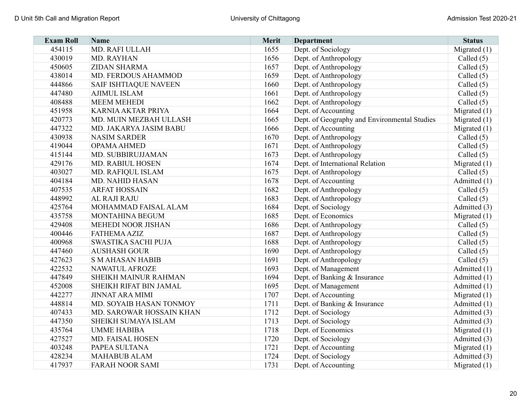| <b>Exam Roll</b> | <b>Name</b>                  | Merit | <b>Department</b>                            | <b>Status</b>  |
|------------------|------------------------------|-------|----------------------------------------------|----------------|
| 454115           | MD. RAFI ULLAH               | 1655  | Dept. of Sociology                           | Migrated $(1)$ |
| 430019           | MD. RAYHAN                   | 1656  | Dept. of Anthropology                        | Called $(5)$   |
| 450605           | ZIDAN SHARMA                 | 1657  | Dept. of Anthropology                        | Called $(5)$   |
| 438014           | MD. FERDOUS AHAMMOD          | 1659  | Dept. of Anthropology                        | Called $(5)$   |
| 444866           | <b>SAIF ISHTIAQUE NAVEEN</b> | 1660  | Dept. of Anthropology                        | Called $(5)$   |
| 447480           | <b>AJIMUL ISLAM</b>          | 1661  | Dept. of Anthropology                        | Called $(5)$   |
| 408488           | <b>MEEM MEHEDI</b>           | 1662  | Dept. of Anthropology                        | Called $(5)$   |
| 451958           | <b>KARNIA AKTAR PRIYA</b>    | 1664  | Dept. of Accounting                          | Migrated $(1)$ |
| 420773           | MD. MUIN MEZBAH ULLASH       | 1665  | Dept. of Geography and Environmental Studies | Migrated $(1)$ |
| 447322           | MD. JAKARYA JASIM BABU       | 1666  | Dept. of Accounting                          | Migrated $(1)$ |
| 430938           | <b>NASIM SARDER</b>          | 1670  | Dept. of Anthropology                        | Called $(5)$   |
| 419044           | OPAMA AHMED                  | 1671  | Dept. of Anthropology                        | Called $(5)$   |
| 415144           | MD. SUBBIRUJJAMAN            | 1673  | Dept. of Anthropology                        | Called (5)     |
| 429176           | <b>MD. RABIUL HOSEN</b>      | 1674  | Dept. of International Relation              | Migrated (1)   |
| 403027           | MD. RAFIQUL ISLAM            | 1675  | Dept. of Anthropology                        | Called $(5)$   |
| 404184           | <b>MD. NAHID HASAN</b>       | 1678  | Dept. of Accounting                          | Admitted $(1)$ |
| 407535           | <b>ARFAT HOSSAIN</b>         | 1682  | Dept. of Anthropology                        | Called $(5)$   |
| 448992           | AL RAJI RAJU                 | 1683  | Dept. of Anthropology                        | Called $(5)$   |
| 425764           | MOHAMMAD FAISAL ALAM         | 1684  | Dept. of Sociology                           | Admitted (3)   |
| 435758           | MONTAHINA BEGUM              | 1685  | Dept. of Economics                           | Migrated $(1)$ |
| 429408           | MEHEDI NOOR JISHAN           | 1686  | Dept. of Anthropology                        | Called $(5)$   |
| 400446           | <b>FATHEMA AZIZ</b>          | 1687  | Dept. of Anthropology                        | Called $(5)$   |
| 400968           | SWASTIKA SACHI PUJA          | 1688  | Dept. of Anthropology                        | Called $(5)$   |
| 447460           | <b>AUSHASH GOUR</b>          | 1690  | Dept. of Anthropology                        | Called $(5)$   |
| 427623           | <b>S M AHASAN HABIB</b>      | 1691  | Dept. of Anthropology                        | Called $(5)$   |
| 422532           | NAWATUL AFROZE               | 1693  | Dept. of Management                          | Admitted (1)   |
| 447849           | SHEIKH MAINUR RAHMAN         | 1694  | Dept. of Banking & Insurance                 | Admitted (1)   |
| 452008           | SHEIKH RIFAT BIN JAMAL       | 1695  | Dept. of Management                          | Admitted (1)   |
| 442277           | <b>JINNAT ARA MIMI</b>       | 1707  | Dept. of Accounting                          | Migrated $(1)$ |
| 448814           | MD. SOYAIB HASAN TONMOY      | 1711  | Dept. of Banking & Insurance                 | Admitted (1)   |
| 407433           | MD. SAROWAR HOSSAIN KHAN     | 1712  | Dept. of Sociology                           | Admitted (3)   |
| 447350           | SHEIKH SUMAYA ISLAM          | 1713  | Dept. of Sociology                           | Admitted (3)   |
| 435764           | <b>UMME HABIBA</b>           | 1718  | Dept. of Economics                           | Migrated $(1)$ |
| 427527           | MD. FAISAL HOSEN             | 1720  | Dept. of Sociology                           | Admitted (3)   |
| 403248           | PAPEA SULTANA                | 1721  | Dept. of Accounting                          | Migrated $(1)$ |
| 428234           | <b>MAHABUB ALAM</b>          | 1724  | Dept. of Sociology                           | Admitted (3)   |
| 417937           | <b>FARAH NOOR SAMI</b>       | 1731  | Dept. of Accounting                          | Migrated $(1)$ |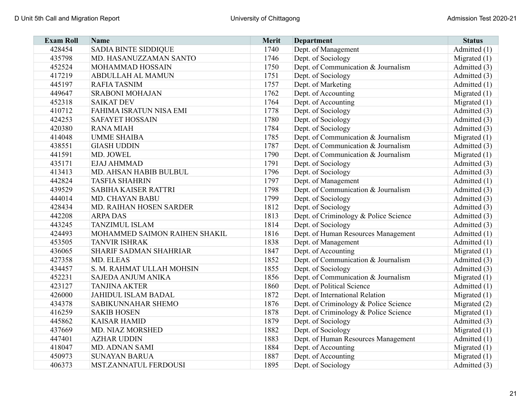| <b>Exam Roll</b> | <b>Name</b>                   | <b>Merit</b> | <b>Department</b>                     | <b>Status</b>  |
|------------------|-------------------------------|--------------|---------------------------------------|----------------|
| 428454           | <b>SADIA BINTE SIDDIQUE</b>   | 1740         | Dept. of Management                   | Admitted (1)   |
| 435798           | MD. HASANUZZAMAN SANTO        | 1746         | Dept. of Sociology                    | Migrated $(1)$ |
| 452524           | MOHAMMAD HOSSAIN              | 1750         | Dept. of Communication & Journalism   | Admitted (3)   |
| 417219           | <b>ABDULLAH AL MAMUN</b>      | 1751         | Dept. of Sociology                    | Admitted (3)   |
| 445197           | <b>RAFIA TASNIM</b>           | 1757         | Dept. of Marketing                    | Admitted (1)   |
| 449647           | <b>SRABONI MOHAJAN</b>        | 1762         | Dept. of Accounting                   | Migrated $(1)$ |
| 452318           | <b>SAIKAT DEV</b>             | 1764         | Dept. of Accounting                   | Migrated $(1)$ |
| 410712           | FAHIMA ISRATUN NISA EMI       | 1778         | Dept. of Sociology                    | Admitted (3)   |
| 424253           | <b>SAFAYET HOSSAIN</b>        | 1780         | Dept. of Sociology                    | Admitted (3)   |
| 420380           | <b>RANA MIAH</b>              | 1784         | Dept. of Sociology                    | Admitted (3)   |
| 414048           | <b>UMME SHAIBA</b>            | 1785         | Dept. of Communication & Journalism   | Migrated $(1)$ |
| 438551           | <b>GIASH UDDIN</b>            | 1787         | Dept. of Communication & Journalism   | Admitted (3)   |
| 441591           | MD. JOWEL                     | 1790         | Dept. of Communication & Journalism   | Migrated $(1)$ |
| 435171           | <b>EJAJ AHMMAD</b>            | 1791         | Dept. of Sociology                    | Admitted (3)   |
| 413413           | MD. AHSAN HABIB BULBUL        | 1796         | Dept. of Sociology                    | Admitted (3)   |
| 442824           | <b>TASFIA SHAHRIN</b>         | 1797         | Dept. of Management                   | Admitted (1)   |
| 439529           | <b>SABIHA KAISER RATTRI</b>   | 1798         | Dept. of Communication & Journalism   | Admitted (3)   |
| 444014           | MD. CHAYAN BABU               | 1799         | Dept. of Sociology                    | Admitted (3)   |
| 428434           | MD. RAIHAN HOSEN SARDER       | 1812         | Dept. of Sociology                    | Admitted (3)   |
| 442208           | <b>ARPA DAS</b>               | 1813         | Dept. of Criminology & Police Science | Admitted (3)   |
| 443245           | <b>TANZIMUL ISLAM</b>         | 1814         | Dept. of Sociology                    | Admitted (3)   |
| 424493           | MOHAMMED SAIMON RAIHEN SHAKIL | 1816         | Dept. of Human Resources Management   | Admitted (1)   |
| 453505           | <b>TANVIR ISHRAK</b>          | 1838         | Dept. of Management                   | Admitted (1)   |
| 436065           | SHARIF SADMAN SHAHRIAR        | 1847         | Dept. of Accounting                   | Migrated $(1)$ |
| 427358           | MD. ELEAS                     | 1852         | Dept. of Communication & Journalism   | Admitted (3)   |
| 434457           | S. M. RAHMAT ULLAH MOHSIN     | 1855         | Dept. of Sociology                    | Admitted (3)   |
| 452231           | SAJEDA ANJUM ANIKA            | 1856         | Dept. of Communication & Journalism   | Migrated $(1)$ |
| 423127           | <b>TANJINA AKTER</b>          | 1860         | Dept. of Political Science            | Admitted (1)   |
| 426000           | <b>JAHIDUL ISLAM BADAL</b>    | 1872         | Dept. of International Relation       | Migrated $(1)$ |
| 434378           | SABIKUNNAHAR SHEMO            | 1876         | Dept. of Criminology & Police Science | Migrated (2)   |
| 416259           | <b>SAKIB HOSEN</b>            | 1878         | Dept. of Criminology & Police Science | Migrated $(1)$ |
| 445862           | <b>KAISAR HAMID</b>           | 1879         | Dept. of Sociology                    | Admitted (3)   |
| 437669           | MD. NIAZ MORSHED              | 1882         | Dept. of Sociology                    | Migrated $(1)$ |
| 447401           | <b>AZHAR UDDIN</b>            | 1883         | Dept. of Human Resources Management   | Admitted (1)   |
| 418047           | <b>MD. ADNAN SAMI</b>         | 1884         | Dept. of Accounting                   | Migrated $(1)$ |
| 450973           | <b>SUNAYAN BARUA</b>          | 1887         | Dept. of Accounting                   | Migrated $(1)$ |
| 406373           | MST.ZANNATUL FERDOUSI         | 1895         | Dept. of Sociology                    | Admitted (3)   |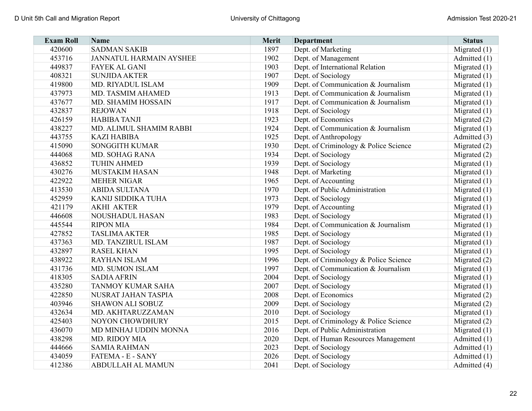| <b>Exam Roll</b> | <b>Name</b>                    | <b>Merit</b> | <b>Department</b>                     | <b>Status</b>  |
|------------------|--------------------------------|--------------|---------------------------------------|----------------|
| 420600           | <b>SADMAN SAKIB</b>            | 1897         | Dept. of Marketing                    | Migrated $(1)$ |
| 453716           | <b>JANNATUL HARMAIN AYSHEE</b> | 1902         | Dept. of Management                   | Admitted (1)   |
| 449837           | <b>FAYEK AL GANI</b>           | 1903         | Dept. of International Relation       | Migrated $(1)$ |
| 408321           | <b>SUNJIDA AKTER</b>           | 1907         | Dept. of Sociology                    | Migrated $(1)$ |
| 419800           | MD. RIYADUL ISLAM              | 1909         | Dept. of Communication & Journalism   | Migrated $(1)$ |
| 437973           | MD. TASMIM AHAMED              | 1913         | Dept. of Communication & Journalism   | Migrated $(1)$ |
| 437677           | MD. SHAMIM HOSSAIN             | 1917         | Dept. of Communication & Journalism   | Migrated $(1)$ |
| 432837           | <b>REJOWAN</b>                 | 1918         | Dept. of Sociology                    | Migrated $(1)$ |
| 426159           | <b>HABIBA TANJI</b>            | 1923         | Dept. of Economics                    | Migrated (2)   |
| 438227           | MD. ALIMUL SHAMIM RABBI        | 1924         | Dept. of Communication & Journalism   | Migrated $(1)$ |
| 443755           | <b>KAZI HABIBA</b>             | 1925         | Dept. of Anthropology                 | Admitted (3)   |
| 415090           | <b>SONGGITH KUMAR</b>          | 1930         | Dept. of Criminology & Police Science | Migrated $(2)$ |
| 444068           | MD. SOHAG RANA                 | 1934         | Dept. of Sociology                    | Migrated (2)   |
| 436852           | <b>TUHIN AHMED</b>             | 1939         | Dept. of Sociology                    | Migrated (1)   |
| 430276           | <b>MUSTAKIM HASAN</b>          | 1948         | Dept. of Marketing                    | Migrated $(1)$ |
| 422922           | <b>MEHER NIGAR</b>             | 1965         | Dept. of Accounting                   | Migrated $(1)$ |
| 413530           | <b>ABIDA SULTANA</b>           | 1970         | Dept. of Public Administration        | Migrated $(1)$ |
| 452959           | KANIJ SIDDIKA TUHA             | 1973         | Dept. of Sociology                    | Migrated (1)   |
| 421179           | <b>AKHI AKTER</b>              | 1979         | Dept. of Accounting                   | Migrated $(1)$ |
| 446608           | <b>NOUSHADUL HASAN</b>         | 1983         | Dept. of Sociology                    | Migrated $(1)$ |
| 445544           | <b>RIPON MIA</b>               | 1984         | Dept. of Communication & Journalism   | Migrated $(1)$ |
| 427852           | <b>TASLIMA AKTER</b>           | 1985         | Dept. of Sociology                    | Migrated $(1)$ |
| 437363           | MD. TANZIRUL ISLAM             | 1987         | Dept. of Sociology                    | Migrated $(1)$ |
| 432897           | <b>RASEL KHAN</b>              | 1995         | Dept. of Sociology                    | Migrated $(1)$ |
| 438922           | <b>RAYHAN ISLAM</b>            | 1996         | Dept. of Criminology & Police Science | Migrated (2)   |
| 431736           | MD. SUMON ISLAM                | 1997         | Dept. of Communication & Journalism   | Migrated $(1)$ |
| 418305           | <b>SADIA AFRIN</b>             | 2004         | Dept. of Sociology                    | Migrated $(1)$ |
| 435280           | TANMOY KUMAR SAHA              | 2007         | Dept. of Sociology                    | Migrated $(1)$ |
| 422850           | NUSRAT JAHAN TASPIA            | 2008         | Dept. of Economics                    | Migrated (2)   |
| 403946           | <b>SHAWON ALI SOBUZ</b>        | 2009         | Dept. of Sociology                    | Migrated (2)   |
| 432634           | MD. AKHTARUZZAMAN              | 2010         | Dept. of Sociology                    | Migrated (1)   |
| 425403           | NOYON CHOWDHURY                | 2015         | Dept. of Criminology & Police Science | Migrated $(2)$ |
| 436070           | MD MINHAJ UDDIN MONNA          | 2016         | Dept. of Public Administration        | Migrated $(1)$ |
| 438298           | MD. RIDOY MIA                  | 2020         | Dept. of Human Resources Management   | Admitted (1)   |
| 444666           | <b>SAMIA RAHMAN</b>            | 2023         | Dept. of Sociology                    | Admitted (1)   |
| 434059           | FATEMA - E - SANY              | 2026         | Dept. of Sociology                    | Admitted (1)   |
| 412386           | ABDULLAH AL MAMUN              | 2041         | Dept. of Sociology                    | Admitted (4)   |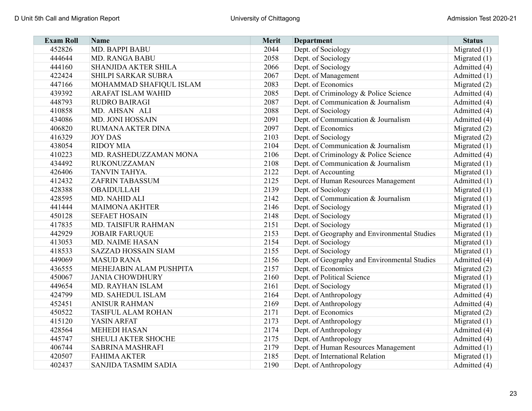| <b>Exam Roll</b> | <b>Name</b>                 | Merit | <b>Department</b>                            | <b>Status</b>  |
|------------------|-----------------------------|-------|----------------------------------------------|----------------|
| 452826           | <b>MD. BAPPI BABU</b>       | 2044  | Dept. of Sociology                           | Migrated (1)   |
| 444644           | MD. RANGA BABU              | 2058  | Dept. of Sociology                           | Migrated $(1)$ |
| 444160           | <b>SHANJIDA AKTER SHILA</b> | 2066  | Dept. of Sociology                           | Admitted (4)   |
| 422424           | SHILPI SARKAR SUBRA         | 2067  | Dept. of Management                          | Admitted (1)   |
| 447166           | MOHAMMAD SHAFIQUL ISLAM     | 2083  | Dept. of Economics                           | Migrated $(2)$ |
| 439392           | ARAFAT ISLAM WAHID          | 2085  | Dept. of Criminology & Police Science        | Admitted (4)   |
| 448793           | <b>RUDRO BAIRAGI</b>        | 2087  | Dept. of Communication & Journalism          | Admitted (4)   |
| 410858           | MD. AHSAN ALI               | 2088  | Dept. of Sociology                           | Admitted (4)   |
| 434086           | <b>MD. JONI HOSSAIN</b>     | 2091  | Dept. of Communication & Journalism          | Admitted (4)   |
| 406820           | RUMANA AKTER DINA           | 2097  | Dept. of Economics                           | Migrated $(2)$ |
| 416329           | <b>JOY DAS</b>              | 2103  | Dept. of Sociology                           | Migrated $(2)$ |
| 438054           | <b>RIDOY MIA</b>            | 2104  | Dept. of Communication & Journalism          | Migrated $(1)$ |
| 410223           | MD. RASHEDUZZAMAN MONA      | 2106  | Dept. of Criminology & Police Science        | Admitted (4)   |
| 434492           | <b>RUKONUZZAMAN</b>         | 2108  | Dept. of Communication & Journalism          | Migrated $(1)$ |
| 426406           | <b>TANVIN TAHYA.</b>        | 2122  | Dept. of Accounting                          | Migrated $(1)$ |
| 412432           | <b>ZAFRIN TABASSUM</b>      | 2125  | Dept. of Human Resources Management          | Admitted (1)   |
| 428388           | <b>OBAIDULLAH</b>           | 2139  | Dept. of Sociology                           | Migrated $(1)$ |
| 428595           | MD. NAHID ALI               | 2142  | Dept. of Communication & Journalism          | Migrated $(1)$ |
| 441444           | <b>MAIMONA AKHTER</b>       | 2146  | Dept. of Sociology                           | Migrated $(1)$ |
| 450128           | <b>SEFAET HOSAIN</b>        | 2148  | Dept. of Sociology                           | Migrated $(1)$ |
| 417835           | MD. TAISIFUR RAHMAN         | 2151  | Dept. of Sociology                           | Migrated $(1)$ |
| 442929           | <b>JOBAIR FARUQUE</b>       | 2153  | Dept. of Geography and Environmental Studies | Migrated $(1)$ |
| 413053           | <b>MD. NAIME HASAN</b>      | 2154  | Dept. of Sociology                           | Migrated $(1)$ |
| 418533           | <b>SAZZAD HOSSAIN SIAM</b>  | 2155  | Dept. of Sociology                           | Migrated $(1)$ |
| 449069           | <b>MASUD RANA</b>           | 2156  | Dept. of Geography and Environmental Studies | Admitted (4)   |
| 436555           | MEHEJABIN ALAM PUSHPITA     | 2157  | Dept. of Economics                           | Migrated $(2)$ |
| 450067           | <b>JANIA CHOWDHURY</b>      | 2160  | Dept. of Political Science                   | Migrated $(1)$ |
| 449654           | MD. RAYHAN ISLAM            | 2161  | Dept. of Sociology                           | Migrated $(1)$ |
| 424799           | MD. SAHEDUL ISLAM           | 2164  | Dept. of Anthropology                        | Admitted (4)   |
| 452451           | <b>ANISUR RAHMAN</b>        | 2169  | Dept. of Anthropology                        | Admitted (4)   |
| 450522           | <b>TASIFUL ALAM ROHAN</b>   | 2171  | Dept. of Economics                           | Migrated (2)   |
| 415120           | YASIN ARFAT                 | 2173  | Dept. of Anthropology                        | Migrated $(1)$ |
| 428564           | <b>MEHEDI HASAN</b>         | 2174  | Dept. of Anthropology                        | Admitted (4)   |
| 445747           | SHEULI AKTER SHOCHE         | 2175  | Dept. of Anthropology                        | Admitted (4)   |
| 406744           | <b>SABRINA MASHRAFI</b>     | 2179  | Dept. of Human Resources Management          | Admitted (1)   |
| 420507           | <b>FAHIMA AKTER</b>         | 2185  | Dept. of International Relation              | Migrated $(1)$ |
| 402437           | <b>SANJIDA TASMIM SADIA</b> | 2190  | Dept. of Anthropology                        | Admitted (4)   |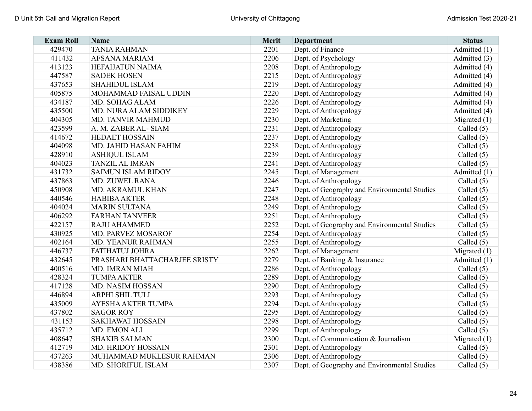| <b>Exam Roll</b> | <b>Name</b>                   | Merit | <b>Department</b>                            | <b>Status</b>  |
|------------------|-------------------------------|-------|----------------------------------------------|----------------|
| 429470           | <b>TANIA RAHMAN</b>           | 2201  | Dept. of Finance                             | Admitted (1)   |
| 411432           | <b>AFSANA MARIAM</b>          | 2206  | Dept. of Psychology                          | Admitted (3)   |
| 413123           | <b>HEFAIJATUN NAIMA</b>       | 2208  | Dept. of Anthropology                        | Admitted (4)   |
| 447587           | <b>SADEK HOSEN</b>            | 2215  | Dept. of Anthropology                        | Admitted (4)   |
| 437653           | <b>SHAHIDUL ISLAM</b>         | 2219  | Dept. of Anthropology                        | Admitted (4)   |
| 405875           | MOHAMMAD FAISAL UDDIN         | 2220  | Dept. of Anthropology                        | Admitted (4)   |
| 434187           | MD. SOHAG ALAM                | 2226  | Dept. of Anthropology                        | Admitted (4)   |
| 435500           | MD. NURA ALAM SIDDIKEY        | 2229  | Dept. of Anthropology                        | Admitted (4)   |
| 404305           | <b>MD. TANVIR MAHMUD</b>      | 2230  | Dept. of Marketing                           | Migrated $(1)$ |
| 423599           | A. M. ZABER AL- SIAM          | 2231  | Dept. of Anthropology                        | Called $(5)$   |
| 414672           | <b>HEDAET HOSSAIN</b>         | 2237  | Dept. of Anthropology                        | Called (5)     |
| 404098           | MD. JAHID HASAN FAHIM         | 2238  | Dept. of Anthropology                        | Called (5)     |
| 428910           | <b>ASHIQUL ISLAM</b>          | 2239  | Dept. of Anthropology                        | Called $(5)$   |
| 404023           | <b>TANZIL AL IMRAN</b>        | 2241  | Dept. of Anthropology                        | Called $(5)$   |
| 431732           | <b>SAIMUN ISLAM RIDOY</b>     | 2245  | Dept. of Management                          | Admitted (1)   |
| 437863           | <b>MD. ZUWEL RANA</b>         | 2246  | Dept. of Anthropology                        | Called $(5)$   |
| 450908           | MD. AKRAMUL KHAN              | 2247  | Dept. of Geography and Environmental Studies | Called (5)     |
| 440546           | <b>HABIBA AKTER</b>           | 2248  | Dept. of Anthropology                        | Called (5)     |
| 404024           | <b>MARIN SULTANA</b>          | 2249  | Dept. of Anthropology                        | Called $(5)$   |
| 406292           | <b>FARHAN TANVEER</b>         | 2251  | Dept. of Anthropology                        | Called $(5)$   |
| 422157           | <b>RAJU AHAMMED</b>           | 2252  | Dept. of Geography and Environmental Studies | Called $(5)$   |
| 430925           | MD. PARVEZ MOSAROF            | 2254  | Dept. of Anthropology                        | Called $(5)$   |
| 402164           | MD. YEANUR RAHMAN             | 2255  | Dept. of Anthropology                        | Called $(5)$   |
| 446737           | FATIHATUJ JOHRA               | 2262  | Dept. of Management                          | Migrated $(1)$ |
| 432645           | PRASHARI BHATTACHARJEE SRISTY | 2279  | Dept. of Banking & Insurance                 | Admitted (1)   |
| 400516           | MD. IMRAN MIAH                | 2286  | Dept. of Anthropology                        | Called $(5)$   |
| 428324           | <b>TUMPA AKTER</b>            | 2289  | Dept. of Anthropology                        | Called $(5)$   |
| 417128           | MD. NASIM HOSSAN              | 2290  | Dept. of Anthropology                        | Called $(5)$   |
| 446894           | ARPHI SHIL TULI               | 2293  | Dept. of Anthropology                        | Called $(5)$   |
| 435009           | AYESHA AKTER TUMPA            | 2294  | Dept. of Anthropology                        | Called (5)     |
| 437802           | <b>SAGOR ROY</b>              | 2295  | Dept. of Anthropology                        | Called $(5)$   |
| 431153           | <b>SAKHAWAT HOSSAIN</b>       | 2298  | Dept. of Anthropology                        | Called $(5)$   |
| 435712           | MD. EMON ALI                  | 2299  | Dept. of Anthropology                        | Called (5)     |
| 408647           | <b>SHAKIB SALMAN</b>          | 2300  | Dept. of Communication & Journalism          | Migrated (1)   |
| 412719           | MD. HRIDOY HOSSAIN            | 2301  | Dept. of Anthropology                        | Called $(5)$   |
| 437263           | MUHAMMAD MUKLESUR RAHMAN      | 2306  | Dept. of Anthropology                        | Called $(5)$   |
| 438386           | MD. SHORIFUL ISLAM            | 2307  | Dept. of Geography and Environmental Studies | Called $(5)$   |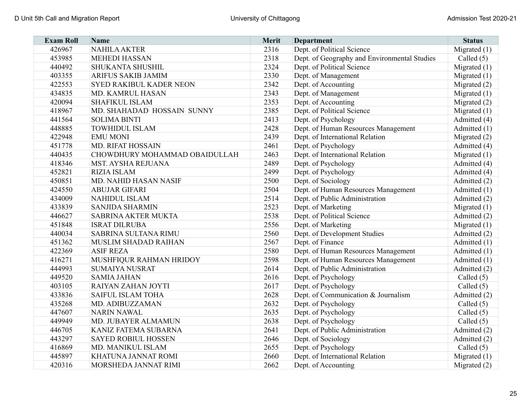| <b>Exam Roll</b> | <b>Name</b>                    | <b>Merit</b> | <b>Department</b>                            | <b>Status</b>  |
|------------------|--------------------------------|--------------|----------------------------------------------|----------------|
| 426967           | <b>NAHILA AKTER</b>            | 2316         | Dept. of Political Science                   | Migrated $(1)$ |
| 453985           | <b>MEHEDI HASSAN</b>           | 2318         | Dept. of Geography and Environmental Studies | Called $(5)$   |
| 440492           | SHUKANTA SHUSHIL               | 2324         | Dept. of Political Science                   | Migrated $(1)$ |
| 403355           | ARIFUS SAKIB JAMIM             | 2330         | Dept. of Management                          | Migrated $(1)$ |
| 422553           | <b>SYED RAKIBUL KADER NEON</b> | 2342         | Dept. of Accounting                          | Migrated (2)   |
| 434835           | MD. KAMRUL HASAN               | 2343         | Dept. of Management                          | Migrated $(1)$ |
| 420094           | <b>SHAFIKUL ISLAM</b>          | 2353         | Dept. of Accounting                          | Migrated $(2)$ |
| 418967           | MD. SHAHADAD HOSSAIN SUNNY     | 2385         | Dept. of Political Science                   | Migrated $(1)$ |
| 441564           | <b>SOLIMA BINTI</b>            | 2413         | Dept. of Psychology                          | Admitted (4)   |
| 448885           | <b>TOWHIDUL ISLAM</b>          | 2428         | Dept. of Human Resources Management          | Admitted (1)   |
| 422948           | <b>EMU MONI</b>                | 2439         | Dept. of International Relation              | Migrated $(2)$ |
| 451778           | <b>MD. RIFAT HOSSAIN</b>       | 2461         | Dept. of Psychology                          | Admitted (4)   |
| 440435           | CHOWDHURY MOHAMMAD OBAIDULLAH  | 2463         | Dept. of International Relation              | Migrated $(1)$ |
| 418346           | MST. AYSHA REJUANA             | 2489         | Dept. of Psychology                          | Admitted (4)   |
| 452821           | <b>RIZIA ISLAM</b>             | 2499         | Dept. of Psychology                          | Admitted (4)   |
| 450851           | MD. NAHID HASAN NASIF          | 2500         | Dept. of Sociology                           | Admitted (2)   |
| 424550           | <b>ABUJAR GIFARI</b>           | 2504         | Dept. of Human Resources Management          | Admitted (1)   |
| 434009           | <b>NAHIDUL ISLAM</b>           | 2514         | Dept. of Public Administration               | Admitted (2)   |
| 433839           | <b>SANJIDA SHARMIN</b>         | 2523         | Dept. of Marketing                           | Migrated $(1)$ |
| 446627           | <b>SABRINA AKTER MUKTA</b>     | 2538         | Dept. of Political Science                   | Admitted (2)   |
| 451848           | <b>ISRAT DILRUBA</b>           | 2556         | Dept. of Marketing                           | Migrated $(1)$ |
| 440034           | <b>SABRINA SULTANA RIMU</b>    | 2560         | Dept. of Development Studies                 | Admitted (2)   |
| 451362           | MUSLIM SHADAD RAIHAN           | 2567         | Dept. of Finance                             | Admitted (1)   |
| 422369           | <b>ASIF REZA</b>               | 2580         | Dept. of Human Resources Management          | Admitted (1)   |
| 416271           | MUSHFIQUR RAHMAN HRIDOY        | 2598         | Dept. of Human Resources Management          | Admitted (1)   |
| 444993           | <b>SUMAIYA NUSRAT</b>          | 2614         | Dept. of Public Administration               | Admitted (2)   |
| 449520           | <b>SAMIA JAHAN</b>             | 2616         | Dept. of Psychology                          | Called $(5)$   |
| 403105           | RAIYAN ZAHAN JOYTI             | 2617         | Dept. of Psychology                          | Called $(5)$   |
| 433836           | SAIFUL ISLAM TOHA              | 2628         | Dept. of Communication & Journalism          | Admitted (2)   |
| 435268           | MD. ADIBUZZAMAN                | 2632         | Dept. of Psychology                          | Called $(5)$   |
| 447607           | <b>NARIN NAWAL</b>             | 2635         | Dept. of Psychology                          | Called (5)     |
| 449949           | MD. JUBAYER ALMAMUN            | 2638         | Dept. of Psychology                          | Called $(5)$   |
| 446705           | KANIZ FATEMA SUBARNA           | 2641         | Dept. of Public Administration               | Admitted (2)   |
| 443297           | <b>SAYED ROBIUL HOSSEN</b>     | 2646         | Dept. of Sociology                           | Admitted (2)   |
| 416869           | MD. MANIKUL ISLAM              | 2655         | Dept. of Psychology                          | Called $(5)$   |
| 445897           | KHATUNA JANNAT ROMI            | 2660         | Dept. of International Relation              | Migrated $(1)$ |
| 420316           | MORSHEDA JANNAT RIMI           | 2662         | Dept. of Accounting                          | Migrated $(2)$ |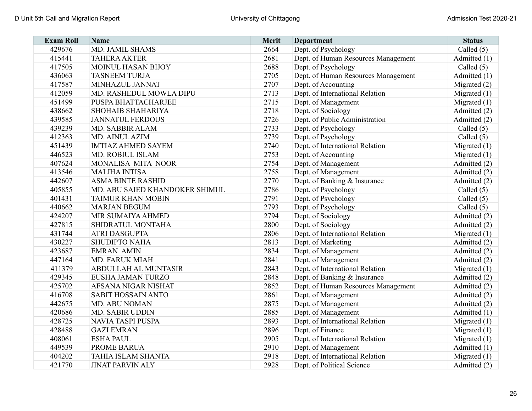| <b>Exam Roll</b> | <b>Name</b>                    | <b>Merit</b> | <b>Department</b>                   | <b>Status</b>  |
|------------------|--------------------------------|--------------|-------------------------------------|----------------|
| 429676           | MD. JAMIL SHAMS                | 2664         | Dept. of Psychology                 | Called $(5)$   |
| 415441           | <b>TAHERA AKTER</b>            | 2681         | Dept. of Human Resources Management | Admitted (1)   |
| 417505           | <b>MOINUL HASAN BIJOY</b>      | 2688         | Dept. of Psychology                 | Called $(5)$   |
| 436063           | <b>TASNEEM TURJA</b>           | 2705         | Dept. of Human Resources Management | Admitted (1)   |
| 417587           | MINHAZUL JANNAT                | 2707         | Dept. of Accounting                 | Migrated $(2)$ |
| 412059           | MD. RASHEDUL MOWLA DIPU        | 2713         | Dept. of International Relation     | Migrated $(1)$ |
| 451499           | PUSPA BHATTACHARJEE            | 2715         | Dept. of Management                 | Migrated $(1)$ |
| 438662           | <b>SHOHAIB SHAHARIYA</b>       | 2718         | Dept. of Sociology                  | Admitted (2)   |
| 439585           | <b>JANNATUL FERDOUS</b>        | 2726         | Dept. of Public Administration      | Admitted (2)   |
| 439239           | MD. SABBIR ALAM                | 2733         | Dept. of Psychology                 | Called $(5)$   |
| 412363           | <b>MD. AINUL AZIM</b>          | 2739         | Dept. of Psychology                 | Called $(5)$   |
| 451439           | <b>IMTIAZ AHMED SAYEM</b>      | 2740         | Dept. of International Relation     | Migrated $(1)$ |
| 446523           | MD. ROBIUL ISLAM               | 2753         | Dept. of Accounting                 | Migrated $(1)$ |
| 407624           | MONALISA MITA NOOR             | 2754         | Dept. of Management                 | Admitted (2)   |
| 413546           | <b>MALIHA INTISA</b>           | 2758         | Dept. of Management                 | Admitted (2)   |
| 442607           | <b>ASMA BINTE RASHID</b>       | 2770         | Dept. of Banking & Insurance        | Admitted (2)   |
| 405855           | MD. ABU SAIED KHANDOKER SHIMUL | 2786         | Dept. of Psychology                 | Called $(5)$   |
| 401431           | <b>TAIMUR KHAN MOBIN</b>       | 2791         | Dept. of Psychology                 | Called $(5)$   |
| 440662           | <b>MARJAN BEGUM</b>            | 2793         | Dept. of Psychology                 | Called $(5)$   |
| 424207           | MIR SUMAIYA AHMED              | 2794         | Dept. of Sociology                  | Admitted (2)   |
| 427815           | SHIDRATUL MONTAHA              | 2800         | Dept. of Sociology                  | Admitted (2)   |
| 431744           | <b>ATRI DASGUPTA</b>           | 2806         | Dept. of International Relation     | Migrated $(1)$ |
| 430227           | <b>SHUDIPTO NAHA</b>           | 2813         | Dept. of Marketing                  | Admitted (2)   |
| 423687           | <b>EMRAN AMIN</b>              | 2834         | Dept. of Management                 | Admitted (2)   |
| 447164           | <b>MD. FARUK MIAH</b>          | 2841         | Dept. of Management                 | Admitted (2)   |
| 411379           | ABDULLAH AL MUNTASIR           | 2843         | Dept. of International Relation     | Migrated $(1)$ |
| 429345           | EUSHA JAMAN TURZO              | 2848         | Dept. of Banking & Insurance        | Admitted (2)   |
| 425702           | AFSANA NIGAR NISHAT            | 2852         | Dept. of Human Resources Management | Admitted (2)   |
| 416708           | SABIT HOSSAIN ANTO             | 2861         | Dept. of Management                 | Admitted (2)   |
| 442675           | <b>MD. ABU NOMAN</b>           | 2875         | Dept. of Management                 | Admitted (2)   |
| 420686           | <b>MD. SABIR UDDIN</b>         | 2885         | Dept. of Management                 | Admitted (1)   |
| 428725           | <b>NAVIA TASPI PUSPA</b>       | 2893         | Dept. of International Relation     | Migrated $(1)$ |
| 428488           | <b>GAZI EMRAN</b>              | 2896         | Dept. of Finance                    | Migrated $(1)$ |
| 408061           | <b>ESHA PAUL</b>               | 2905         | Dept. of International Relation     | Migrated $(1)$ |
| 449539           | PROME BARUA                    | 2910         | Dept. of Management                 | Admitted $(1)$ |
| 404202           | TAHIA ISLAM SHANTA             | 2918         | Dept. of International Relation     | Migrated $(1)$ |
| 421770           | <b>JINAT PARVIN ALY</b>        | 2928         | Dept. of Political Science          | Admitted (2)   |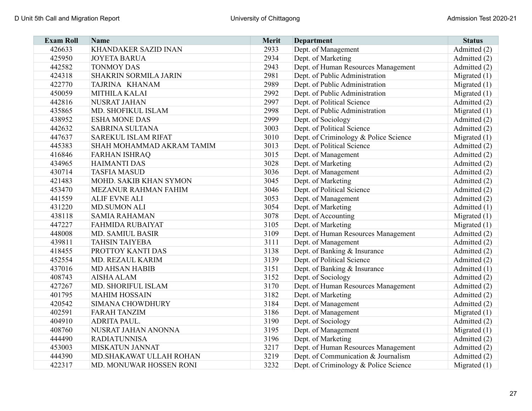| <b>Exam Roll</b> | <b>Name</b>                  | Merit | <b>Department</b>                     | <b>Status</b>  |
|------------------|------------------------------|-------|---------------------------------------|----------------|
| 426633           | KHANDAKER SAZID INAN         | 2933  | Dept. of Management                   | Admitted (2)   |
| 425950           | <b>JOYETA BARUA</b>          | 2934  | Dept. of Marketing                    | Admitted (2)   |
| 442582           | <b>TONMOY DAS</b>            | 2943  | Dept. of Human Resources Management   | Admitted (2)   |
| 424318           | <b>SHAKRIN SORMILA JARIN</b> | 2981  | Dept. of Public Administration        | Migrated $(1)$ |
| 422770           | TAJRINA KHANAM               | 2989  | Dept. of Public Administration        | Migrated $(1)$ |
| 450059           | <b>MITHILA KALAI</b>         | 2992  | Dept. of Public Administration        | Migrated $(1)$ |
| 442816           | NUSRAT JAHAN                 | 2997  | Dept. of Political Science            | Admitted (2)   |
| 435865           | MD. SHOFIKUL ISLAM           | 2998  | Dept. of Public Administration        | Migrated $(1)$ |
| 438952           | <b>ESHA MONE DAS</b>         | 2999  | Dept. of Sociology                    | Admitted (2)   |
| 442632           | <b>SABRINA SULTANA</b>       | 3003  | Dept. of Political Science            | Admitted (2)   |
| 447637           | <b>SAREKUL ISLAM RIFAT</b>   | 3010  | Dept. of Criminology & Police Science | Migrated $(1)$ |
| 445383           | SHAH MOHAMMAD AKRAM TAMIM    | 3013  | Dept. of Political Science            | Admitted (2)   |
| 416846           | <b>FARHAN ISHRAQ</b>         | 3015  | Dept. of Management                   | Admitted (2)   |
| 434965           | <b>HAIMANTI DAS</b>          | 3028  | Dept. of Marketing                    | Admitted (2)   |
| 430714           | <b>TASFIA MASUD</b>          | 3036  | Dept. of Management                   | Admitted (2)   |
| 421483           | MOHD. SAKIB KHAN SYMON       | 3045  | Dept. of Marketing                    | Admitted (2)   |
| 453470           | MEZANUR RAHMAN FAHIM         | 3046  | Dept. of Political Science            | Admitted (2)   |
| 441559           | <b>ALIF EVNE ALI</b>         | 3053  | Dept. of Management                   | Admitted (2)   |
| 431220           | <b>MD.SUMON ALI</b>          | 3054  | Dept. of Marketing                    | Admitted (1)   |
| 438118           | <b>SAMIA RAHAMAN</b>         | 3078  | Dept. of Accounting                   | Migrated $(1)$ |
| 447227           | <b>FAHMIDA RUBAIYAT</b>      | 3105  | Dept. of Marketing                    | Migrated $(1)$ |
| 448008           | <b>MD. SAMIUL BASIR</b>      | 3109  | Dept. of Human Resources Management   | Admitted (2)   |
| 439811           | <b>TAHSIN TAIYEBA</b>        | 3111  | Dept. of Management                   | Admitted (2)   |
| 418455           | PROTTOY KANTI DAS            | 3138  | Dept. of Banking & Insurance          | Admitted (2)   |
| 452554           | MD. REZAUL KARIM             | 3139  | Dept. of Political Science            | Admitted (2)   |
| 437016           | <b>MD AHSAN HABIB</b>        | 3151  | Dept. of Banking & Insurance          | Admitted (1)   |
| 408743           | <b>AISHA ALAM</b>            | 3152  | Dept. of Sociology                    | Admitted (2)   |
| 427267           | MD. SHORIFUL ISLAM           | 3170  | Dept. of Human Resources Management   | Admitted (2)   |
| 401795           | <b>MAHIM HOSSAIN</b>         | 3182  | Dept. of Marketing                    | Admitted (2)   |
| 420542           | <b>SIMANA CHOWDHURY</b>      | 3184  | Dept. of Management                   | Admitted (2)   |
| 402591           | <b>FARAH TANZIM</b>          | 3186  | Dept. of Management                   | Migrated $(1)$ |
| 404910           | ADRITA PAUL.                 | 3190  | Dept. of Sociology                    | Admitted (2)   |
| 408760           | NUSRAT JAHAN ANONNA          | 3195  | Dept. of Management                   | Migrated $(1)$ |
| 444490           | <b>RADIATUNNISA</b>          | 3196  | Dept. of Marketing                    | Admitted (2)   |
| 453003           | <b>MISKATUN JANNAT</b>       | 3217  | Dept. of Human Resources Management   | Admitted (2)   |
| 444390           | MD. SHAKAWAT ULLAH ROHAN     | 3219  | Dept. of Communication & Journalism   | Admitted (2)   |
| 422317           | MD. MONUWAR HOSSEN RONI      | 3232  | Dept. of Criminology & Police Science | Migrated $(1)$ |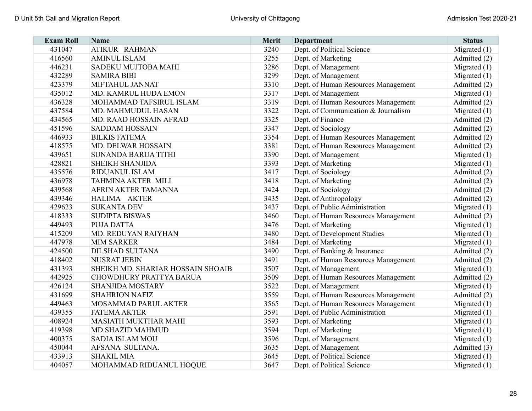| <b>Exam Roll</b> | <b>Name</b>                       | Merit | <b>Department</b>                   | <b>Status</b>  |
|------------------|-----------------------------------|-------|-------------------------------------|----------------|
| 431047           | ATIKUR RAHMAN                     | 3240  | Dept. of Political Science          | Migrated $(1)$ |
| 416560           | <b>AMINUL ISLAM</b>               | 3255  | Dept. of Marketing                  | Admitted (2)   |
| 446231           | SADEKU MUJTOBA MAHI               | 3286  | Dept. of Management                 | Migrated $(1)$ |
| 432289           | <b>SAMIRA BIBI</b>                | 3299  | Dept. of Management                 | Migrated $(1)$ |
| 423379           | MIFTAHUL JANNAT                   | 3310  | Dept. of Human Resources Management | Admitted (2)   |
| 435012           | MD. KAMRUL HUDA EMON              | 3317  | Dept. of Management                 | Migrated $(1)$ |
| 436328           | MOHAMMAD TAFSIRUL ISLAM           | 3319  | Dept. of Human Resources Management | Admitted (2)   |
| 437584           | MD. MAHMUDUL HASAN                | 3322  | Dept. of Communication & Journalism | Migrated $(1)$ |
| 434565           | MD. RAAD HOSSAIN AFRAD            | 3325  | Dept. of Finance                    | Admitted (2)   |
| 451596           | <b>SADDAM HOSSAIN</b>             | 3347  | Dept. of Sociology                  | Admitted (2)   |
| 446933           | <b>BILKIS FATEMA</b>              | 3354  | Dept. of Human Resources Management | Admitted (2)   |
| 418575           | MD. DELWAR HOSSAIN                | 3381  | Dept. of Human Resources Management | Admitted (2)   |
| 439651           | <b>SUNANDA BARUA TITHI</b>        | 3390  | Dept. of Management                 | Migrated $(1)$ |
| 428821           | <b>SHEIKH SHANJIDA</b>            | 3393  | Dept. of Marketing                  | Migrated $(1)$ |
| 435576           | RIDUANUL ISLAM                    | 3417  | Dept. of Sociology                  | Admitted (2)   |
| 436978           | <b>TAHMINA AKTER MILI</b>         | 3418  | Dept. of Marketing                  | Admitted (2)   |
| 439568           | AFRIN AKTER TAMANNA               | 3424  | Dept. of Sociology                  | Admitted (2)   |
| 439346           | HALIMA AKTER                      | 3435  | Dept. of Anthropology               | Admitted (2)   |
| 429623           | <b>SUKANTA DEV</b>                | 3437  | Dept. of Public Administration      | Migrated $(1)$ |
| 418333           | <b>SUDIPTA BISWAS</b>             | 3460  | Dept. of Human Resources Management | Admitted (2)   |
| 449493           | <b>PUJA DATTA</b>                 | 3476  | Dept. of Marketing                  | Migrated $(1)$ |
| 415209           | MD. REDUYAN RAIYHAN               | 3480  | Dept. of Development Studies        | Migrated $(1)$ |
| 447978           | <b>MIM SARKER</b>                 | 3484  | Dept. of Marketing                  | Migrated $(1)$ |
| 424500           | <b>DILSHAD SULTANA</b>            | 3490  | Dept. of Banking & Insurance        | Admitted (2)   |
| 418402           | <b>NUSRAT JEBIN</b>               | 3491  | Dept. of Human Resources Management | Admitted (2)   |
| 431393           | SHEIKH MD. SHARIAR HOSSAIN SHOAIB | 3507  | Dept. of Management                 | Migrated $(1)$ |
| 442925           | CHOWDHURY PRATTYA BARUA           | 3509  | Dept. of Human Resources Management | Admitted (2)   |
| 426124           | <b>SHANJIDA MOSTARY</b>           | 3522  | Dept. of Management                 | Migrated $(1)$ |
| 431699           | <b>SHAHRION NAFIZ</b>             | 3559  | Dept. of Human Resources Management | Admitted (2)   |
| 449463           | MOSAMMAD PARUL AKTER              | 3565  | Dept. of Human Resources Management | Migrated $(1)$ |
| 439355           | <b>FATEMA AKTER</b>               | 3591  | Dept. of Public Administration      | Migrated $(1)$ |
| 408924           | <b>MASIATH MUKTHAR MAHI</b>       | 3593  | Dept. of Marketing                  | Migrated $(1)$ |
| 419398           | MD.SHAZID MAHMUD                  | 3594  | Dept. of Marketing                  | Migrated $(1)$ |
| 400375           | <b>SADIA ISLAM MOU</b>            | 3596  | Dept. of Management                 | Migrated $(1)$ |
| 450044           | AFSANA SULTANA.                   | 3635  | Dept. of Management                 | Admitted (3)   |
| 433913           | <b>SHAKIL MIA</b>                 | 3645  | Dept. of Political Science          | Migrated $(1)$ |
| 404057           | MOHAMMAD RIDUANUL HOQUE           | 3647  | Dept. of Political Science          | Migrated $(1)$ |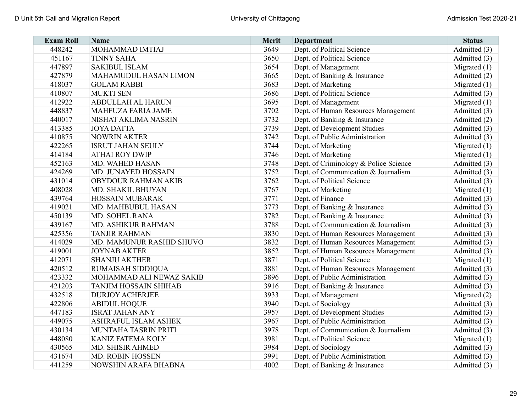| <b>Exam Roll</b> | <b>Name</b>                  | <b>Merit</b> | <b>Department</b>                     | <b>Status</b>  |
|------------------|------------------------------|--------------|---------------------------------------|----------------|
| 448242           | MOHAMMAD IMTIAJ              | 3649         | Dept. of Political Science            | Admitted (3)   |
| 451167           | <b>TINNY SAHA</b>            | 3650         | Dept. of Political Science            | Admitted (3)   |
| 447897           | <b>SAKIBUL ISLAM</b>         | 3654         | Dept. of Management                   | Migrated $(1)$ |
| 427879           | MAHAMUDUL HASAN LIMON        | 3665         | Dept. of Banking & Insurance          | Admitted (2)   |
| 418037           | <b>GOLAM RABBI</b>           | 3683         | Dept. of Marketing                    | Migrated $(1)$ |
| 410807           | <b>MUKTI SEN</b>             | 3686         | Dept. of Political Science            | Admitted (3)   |
| 412922           | ABDULLAH AL HARUN            | 3695         | Dept. of Management                   | Migrated $(1)$ |
| 448837           | MAHFUZA FARIA JAME           | 3702         | Dept. of Human Resources Management   | Admitted (3)   |
| 440017           | NISHAT AKLIMA NASRIN         | 3732         | Dept. of Banking & Insurance          | Admitted (2)   |
| 413385           | <b>JOYA DATTA</b>            | 3739         | Dept. of Development Studies          | Admitted (3)   |
| 410875           | <b>NOWRIN AKTER</b>          | 3742         | Dept. of Public Administration        | Admitted (3)   |
| 422265           | <b>ISRUT JAHAN SEULY</b>     | 3744         | Dept. of Marketing                    | Migrated $(1)$ |
| 414184           | <b>ATHAI ROY DWIP</b>        | 3746         | Dept. of Marketing                    | Migrated $(1)$ |
| 452163           | MD. WAHED HASAN              | 3748         | Dept. of Criminology & Police Science | Admitted (3)   |
| 424269           | MD. JUNAYED HOSSAIN          | 3752         | Dept. of Communication & Journalism   | Admitted (3)   |
| 431014           | OBYDOUR RAHMAN AKIB          | 3762         | Dept. of Political Science            | Admitted (3)   |
| 408028           | MD. SHAKIL BHUYAN            | 3767         | Dept. of Marketing                    | Migrated $(1)$ |
| 439764           | <b>HOSSAIN MUBARAK</b>       | 3771         | Dept. of Finance                      | Admitted (3)   |
| 419021           | MD. MAHBUBUL HASAN           | 3773         | Dept. of Banking & Insurance          | Admitted (3)   |
| 450139           | MD. SOHEL RANA               | 3782         | Dept. of Banking & Insurance          | Admitted (3)   |
| 439167           | MD. ASHIKUR RAHMAN           | 3788         | Dept. of Communication & Journalism   | Admitted (3)   |
| 425356           | <b>TANJIR RAHMAN</b>         | 3830         | Dept. of Human Resources Management   | Admitted (3)   |
| 414029           | MD. MAMUNUR RASHID SHUVO     | 3832         | Dept. of Human Resources Management   | Admitted (3)   |
| 419001           | <b>JOYNAB AKTER</b>          | 3852         | Dept. of Human Resources Management   | Admitted (3)   |
| 412071           | <b>SHANJU AKTHER</b>         | 3871         | Dept. of Political Science            | Migrated $(1)$ |
| 420512           | <b>RUMAISAH SIDDIQUA</b>     | 3881         | Dept. of Human Resources Management   | Admitted (3)   |
| 423332           | MOHAMMAD ALI NEWAZ SAKIB     | 3896         | Dept. of Public Administration        | Admitted (3)   |
| 421203           | <b>TANJIM HOSSAIN SHIHAB</b> | 3916         | Dept. of Banking & Insurance          | Admitted (3)   |
| 432518           | <b>DURJOY ACHERJEE</b>       | 3933         | Dept. of Management                   | Migrated $(2)$ |
| 422806           | <b>ABIDUL HOQUE</b>          | 3940         | Dept. of Sociology                    | Admitted (3)   |
| 447183           | <b>ISRAT JAHAN ANY</b>       | 3957         | Dept. of Development Studies          | Admitted (3)   |
| 449075           | <b>ASHRAFUL ISLAM ASHEK</b>  | 3967         | Dept. of Public Administration        | Admitted (3)   |
| 430134           | MUNTAHA TASRIN PRITI         | 3978         | Dept. of Communication & Journalism   | Admitted (3)   |
| 448080           | KANIZ FATEMA KOLY            | 3981         | Dept. of Political Science            | Migrated $(1)$ |
| 430565           | MD. SHISIR AHMED             | 3984         | Dept. of Sociology                    | Admitted (3)   |
| 431674           | MD. ROBIN HOSSEN             | 3991         | Dept. of Public Administration        | Admitted (3)   |
| 441259           | NOWSHIN ARAFA BHABNA         | 4002         | Dept. of Banking & Insurance          | Admitted (3)   |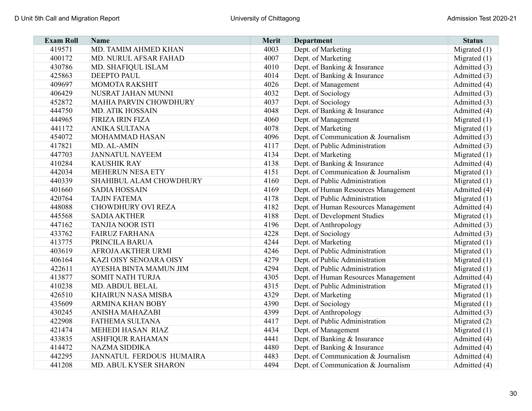| <b>Exam Roll</b> | <b>Name</b>                   | Merit | <b>Department</b>                   | <b>Status</b>  |
|------------------|-------------------------------|-------|-------------------------------------|----------------|
| 419571           | MD. TAMIM AHMED KHAN          | 4003  | Dept. of Marketing                  | Migrated $(1)$ |
| 400172           | MD. NURUL AFSAR FAHAD         | 4007  | Dept. of Marketing                  | Migrated $(1)$ |
| 430786           | MD. SHAFIQUL ISLAM            | 4010  | Dept. of Banking & Insurance        | Admitted (3)   |
| 425863           | <b>DEEPTO PAUL</b>            | 4014  | Dept. of Banking & Insurance        | Admitted (3)   |
| 409697           | <b>MOMOTA RAKSHIT</b>         | 4026  | Dept. of Management                 | Admitted (4)   |
| 406429           | NUSRAT JAHAN MUNNI            | 4032  | Dept. of Sociology                  | Admitted (3)   |
| 452872           | <b>MAHIA PARVIN CHOWDHURY</b> | 4037  | Dept. of Sociology                  | Admitted (3)   |
| 444750           | <b>MD. ATIK HOSSAIN</b>       | 4048  | Dept. of Banking & Insurance        | Admitted (4)   |
| 444965           | <b>FIRIZA IRIN FIZA</b>       | 4060  | Dept. of Management                 | Migrated $(1)$ |
| 441172           | <b>ANIKA SULTANA</b>          | 4078  | Dept. of Marketing                  | Migrated $(1)$ |
| 454072           | MOHAMMAD HASAN                | 4096  | Dept. of Communication & Journalism | Admitted (3)   |
| 417821           | MD. AL-AMIN                   | 4117  | Dept. of Public Administration      | Admitted (3)   |
| 447703           | <b>JANNATUL NAYEEM</b>        | 4134  | Dept. of Marketing                  | Migrated $(1)$ |
| 410284           | <b>KAUSHIK RAY</b>            | 4138  | Dept. of Banking & Insurance        | Admitted (4)   |
| 442034           | <b>MEHERUN NESA ETY</b>       | 4151  | Dept. of Communication & Journalism | Migrated $(1)$ |
| 440339           | SHAHIBUL ALAM CHOWDHURY       | 4160  | Dept. of Public Administration      | Migrated $(1)$ |
| 401660           | <b>SADIA HOSSAIN</b>          | 4169  | Dept. of Human Resources Management | Admitted (4)   |
| 420764           | <b>TAJIN FATEMA</b>           | 4178  | Dept. of Public Administration      | Migrated $(1)$ |
| 448088           | <b>CHOWDHURY OVI REZA</b>     | 4182  | Dept. of Human Resources Management | Admitted (4)   |
| 445568           | <b>SADIA AKTHER</b>           | 4188  | Dept. of Development Studies        | Migrated $(1)$ |
| 447162           | <b>TANJIA NOOR ISTI</b>       | 4196  | Dept. of Anthropology               | Admitted (3)   |
| 433762           | <b>FAIRUZ FARHANA</b>         | 4228  | Dept. of Sociology                  | Admitted (3)   |
| 413775           | PRINCILA BARUA                | 4244  | Dept. of Marketing                  | Migrated $(1)$ |
| 403619           | AFROJA AKTHER URMI            | 4246  | Dept. of Public Administration      | Migrated $(1)$ |
| 406164           | KAZI OISY SENOARA OISY        | 4279  | Dept. of Public Administration      | Migrated $(1)$ |
| 422611           | AYESHA BINTA MAMUN JIM        | 4294  | Dept. of Public Administration      | Migrated $(1)$ |
| 413877           | <b>SOMIT NATH TURJA</b>       | 4305  | Dept. of Human Resources Management | Admitted (4)   |
| 410238           | MD. ABDUL BELAL               | 4315  | Dept. of Public Administration      | Migrated $(1)$ |
| 426510           | <b>KHAIRUN NASA MISBA</b>     | 4329  | Dept. of Marketing                  | Migrated (1)   |
| 435609           | <b>ARMINA KHAN BOBY</b>       | 4390  | Dept. of Sociology                  | Migrated (1)   |
| 430245           | ANISHA MAHAZABI               | 4399  | Dept. of Anthropology               | Admitted (3)   |
| 422908           | FATHEMA SULTANA               | 4417  | Dept. of Public Administration      | Migrated $(2)$ |
| 421474           | MEHEDI HASAN RIAZ             | 4434  | Dept. of Management                 | Migrated $(1)$ |
| 433835           | <b>ASHFIQUR RAHAMAN</b>       | 4441  | Dept. of Banking & Insurance        | Admitted (4)   |
| 414472           | <b>NAZMA SIDDIKA</b>          | 4480  | Dept. of Banking & Insurance        | Admitted (4)   |
| 442295           | JANNATUL FERDOUS HUMAIRA      | 4483  | Dept. of Communication & Journalism | Admitted (4)   |
| 441208           | MD. ABUL KYSER SHARON         | 4494  | Dept. of Communication & Journalism | Admitted (4)   |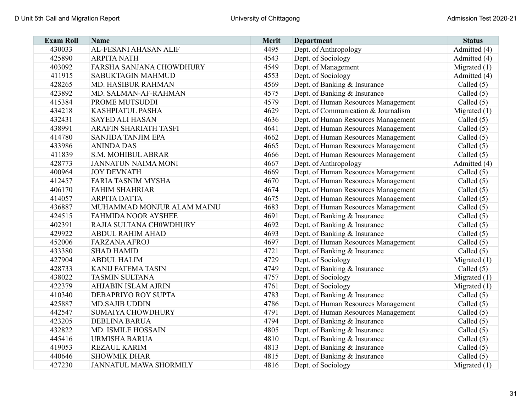| <b>Exam Roll</b> | <b>Name</b>                  | Merit | <b>Department</b>                   | <b>Status</b>  |
|------------------|------------------------------|-------|-------------------------------------|----------------|
| 430033           | AL-FESANI AHASAN ALIF        | 4495  | Dept. of Anthropology               | Admitted (4)   |
| 425890           | <b>ARPITA NATH</b>           | 4543  | Dept. of Sociology                  | Admitted (4)   |
| 403092           | FARSHA SANJANA CHOWDHURY     | 4549  | Dept. of Management                 | Migrated $(1)$ |
| 411915           | <b>SABUKTAGIN MAHMUD</b>     | 4553  | Dept. of Sociology                  | Admitted (4)   |
| 428265           | MD. HASIBUR RAHMAN           | 4569  | Dept. of Banking & Insurance        | Called $(5)$   |
| 423892           | MD. SALMAN-AF-RAHMAN         | 4575  | Dept. of Banking & Insurance        | Called $(5)$   |
| 415384           | PROME MUTSUDDI               | 4579  | Dept. of Human Resources Management | Called $(5)$   |
| 434218           | KASHPIATUL PASHA             | 4629  | Dept. of Communication & Journalism | Migrated $(1)$ |
| 432431           | <b>SAYED ALI HASAN</b>       | 4636  | Dept. of Human Resources Management | Called $(5)$   |
| 438991           | <b>ARAFIN SHARIATH TASFI</b> | 4641  | Dept. of Human Resources Management | Called $(5)$   |
| 414780           | <b>SANJIDA TANJIM EPA</b>    | 4662  | Dept. of Human Resources Management | Called $(5)$   |
| 433986           | <b>ANINDA DAS</b>            | 4665  | Dept. of Human Resources Management | Called $(5)$   |
| 411839           | S.M. MOHIBUL ABRAR           | 4666  | Dept. of Human Resources Management | Called $(5)$   |
| 428773           | <b>JANNATUN NAIMA MONI</b>   | 4667  | Dept. of Anthropology               | Admitted (4)   |
| 400964           | <b>JOY DEVNATH</b>           | 4669  | Dept. of Human Resources Management | Called $(5)$   |
| 412457           | <b>FARIA TASNIM MYSHA</b>    | 4670  | Dept. of Human Resources Management | Called $(5)$   |
| 406170           | <b>FAHIM SHAHRIAR</b>        | 4674  | Dept. of Human Resources Management | Called $(5)$   |
| 414057           | <b>ARPITA DATTA</b>          | 4675  | Dept. of Human Resources Management | Called $(5)$   |
| 436887           | MUHAMMAD MONJUR ALAM MAINU   | 4683  | Dept. of Human Resources Management | Called $(5)$   |
| 424515           | <b>FAHMIDA NOOR AYSHEE</b>   | 4691  | Dept. of Banking & Insurance        | Called $(5)$   |
| 402391           | RAJIA SULTANA CH0WDHURY      | 4692  | Dept. of Banking & Insurance        | Called $(5)$   |
| 429922           | <b>ABDUL RAHIM AHAD</b>      | 4693  | Dept. of Banking & Insurance        | Called $(5)$   |
| 452006           | <b>FARZANA AFROJ</b>         | 4697  | Dept. of Human Resources Management | Called $(5)$   |
| 433380           | <b>SHAD HAMID</b>            | 4721  | Dept. of Banking & Insurance        | Called $(5)$   |
| 427904           | <b>ABDUL HALIM</b>           | 4729  | Dept. of Sociology                  | Migrated $(1)$ |
| 428733           | <b>KANIJ FATEMA TASIN</b>    | 4749  | Dept. of Banking & Insurance        | Called $(5)$   |
| 438022           | <b>TASMIN SULTANA</b>        | 4757  | Dept. of Sociology                  | Migrated $(1)$ |
| 422379           | <b>AHJABIN ISLAM AJRIN</b>   | 4761  | Dept. of Sociology                  | Migrated $(1)$ |
| 410340           | DEBAPRIYO ROY SUPTA          | 4783  | Dept. of Banking & Insurance        | Called $(5)$   |
| 425887           | <b>MD.SAJIB UDDIN</b>        | 4786  | Dept. of Human Resources Management | Called $(5)$   |
| 442547           | <b>SUMAIYA CHOWDHURY</b>     | 4791  | Dept. of Human Resources Management | Called $(5)$   |
| 423205           | <b>DEBLINA BARUA</b>         | 4794  | Dept. of Banking & Insurance        | Called $(5)$   |
| 432822           | MD. ISMILE HOSSAIN           | 4805  | Dept. of Banking & Insurance        | Called $(5)$   |
| 445416           | URMISHA BARUA                | 4810  | Dept. of Banking & Insurance        | Called $(5)$   |
| 419053           | <b>REZAUL KARIM</b>          | 4813  | Dept. of Banking & Insurance        | Called $(5)$   |
| 440646           | <b>SHOWMIK DHAR</b>          | 4815  | Dept. of Banking & Insurance        | Called $(5)$   |
| 427230           | JANNATUL MAWA SHORMILY       | 4816  | Dept. of Sociology                  | Migrated $(1)$ |